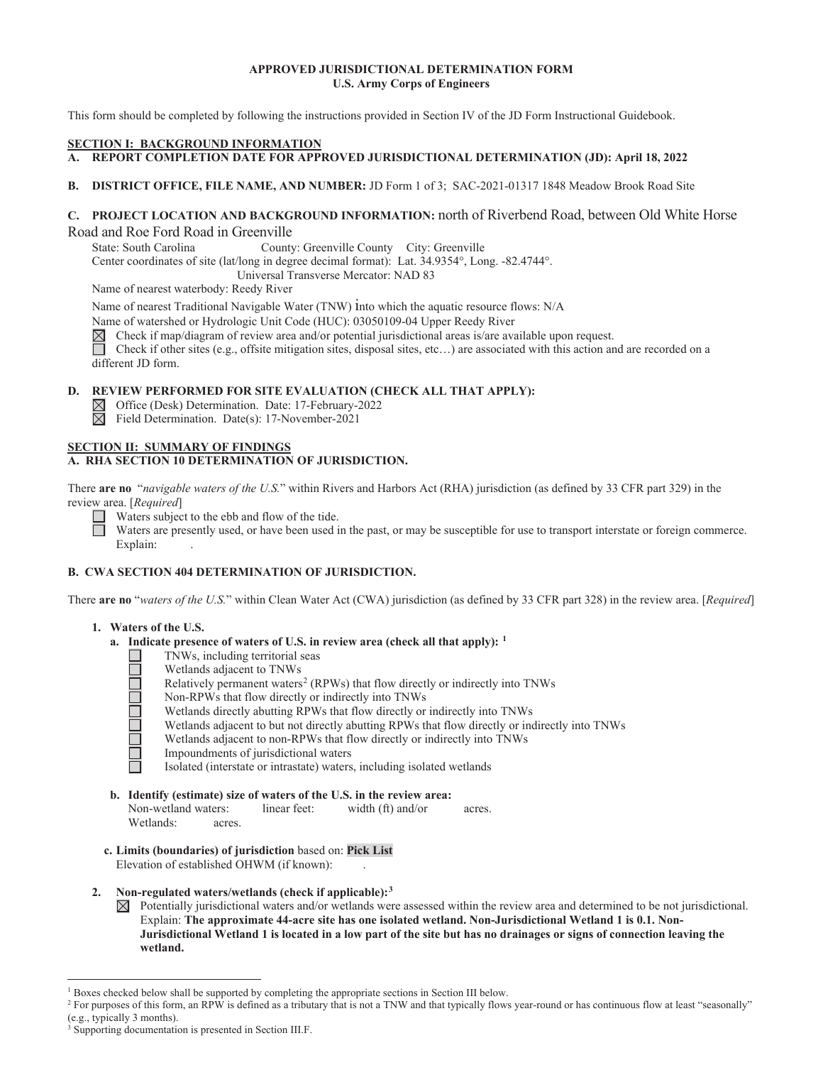# **APPROVED JURISDICTIONAL DETERMINATION FORM U.S. Army Corps of Engineers**

This form should be completed by following the instructions provided in Section IV of the JD Form Instructional Guidebook.

### **SECTION I: BACKGROUND INFORMATION**

- A. REPORT COMPLETION DATE FOR APPROVED JURISDICTIONAL DETERMINATION (JD): April 18, 2022
- **B**. **DISTRICT OFFICE, FILE NAME, AND NUMBER:** JD Form 1 of 3; SAC-2021-01317 1848 Meadow Brook Road Site

# **C. PROJECT LOCATION AND BACKGROUND INFORMATION:** north of Riverbend Road, between Old White Horse Road and Roe Ford Road in Greenville

State: South Carolina County: Greenville County City: Greenville

Center coordinates of site (lat/long in degree decimal format): Lat. 34.9354°, Long. -82.4744°.

Universal Transverse Mercator: NAD 83

Name of nearest waterbody: Reedy River

Name of nearest Traditional Navigable Water (TNW) into which the aquatic resource flows: N/A

Name of watershed or Hydrologic Unit Code (HUC): 03050109-04 Upper Reedy River  $\boxtimes$  Check if map/diagram of review area and/or potential jurisdictional areas is/are ava $\Box$  Check if other sites (e.g., offsite mitigation Check if map/diagram of review area and/or potential jurisdictional areas is/are available upon request.

 different JD form. Check if other sites (e.g., offsite mitigation sites, disposal sites, etc…) are associated with this action and are recorded on a

### **D. REVIEW PERFORMED FOR SITE EVALUATION (CHECK ALL THAT APPLY):**

- $\boxtimes$  Office (Desk) Determination. Date: 17-February-2022
- $\overline{\boxtimes}$  Field Determination. Date(s): 17-November-2021

### **SECTION II: SUMMARY OF FINDINGS A. RHA SECTION 10 DETERMINATION OF JURISDICTION.**

There **are no** "*navigable waters of the U.S.*" within Rivers and Harbors Act (RHA) jurisdiction (as defined by 33 CFR part 329) in the review area. [*Required*]

Waters subject to the ebb and flow of the tide.

 $\Box$ Waters are presently used, or have been used in the past, or may be susceptible for use to transport interstate or foreign commerce. Explain: .

# **B. CWA SECTION 404 DETERMINATION OF JURISDICTION.**

There **are no** "*waters of the U.S.*" within Clean Water Act (CWA) jurisdiction (as defined by 33 CFR part 328) in the review area. [*Required*]

# **1. Waters of the U.S.**

- **a. Indicate presence of waters of U.S. in review area (check all that apply): 1** 
	- TNWs, including territorial seas
	- Wetlands adjacent to TNWs
	- Relatively permanent waters<sup>2</sup> (RPWs) that flow directly or indirectly into TNWs
	- Non-RPWs that flow directly or indirectly into TNWs
	- Wetlands directly abutting RPWs that flow directly or indirectly into TNWs
	- Wetlands adjacent to but not directly abutting RPWs that flow directly or indirectly into TNWs
	- Wetlands adjacent to non-RPWs that flow directly or indirectly into TNWs
	- Impoundments of jurisdictional waters
		- Isolated (interstate or intrastate) waters, including isolated wetlands
- **b. Identify (estimate) size of waters of the U.S. in the review area:**  Non-wetland waters: linear feet: width (ft) and/or acres. Wetlands: acres.
- **c. Limits (boundaries) of jurisdiction** based on: **Pick List** Elevation of established OHWM (if known):
- $2.$ **2. Non-regulated waters/wetlands (check if applicable):3**

 $\boxtimes$  Potentially jurisdictional waters and/or wetlands were assessed within the review area and determined to be not jurisdictional. Explain: **The approximate 44-acre site has one isolated wetland. Non-Jurisdictional Wetland 1 is 0.1. Non-Jurisdictional Wetland 1 is located in a low part of the site but has no drainages or signs of connection leaving the wetland.** 

<sup>&</sup>lt;sup>1</sup> Boxes checked below shall be supported by completing the appropriate sections in Section III below.<br><sup>2</sup> For purposes of this form an PPW is defined as a tributory that is not a TNW and that tunically flows

<sup>&</sup>lt;sup>2</sup> For purposes of this form, an RPW is defined as a tributary that is not a TNW and that typically flows year-round or has continuous flow at least "seasonally" (e.g., typically 3 months).

<sup>&</sup>lt;sup>3</sup> Supporting documentation is presented in Section III.F.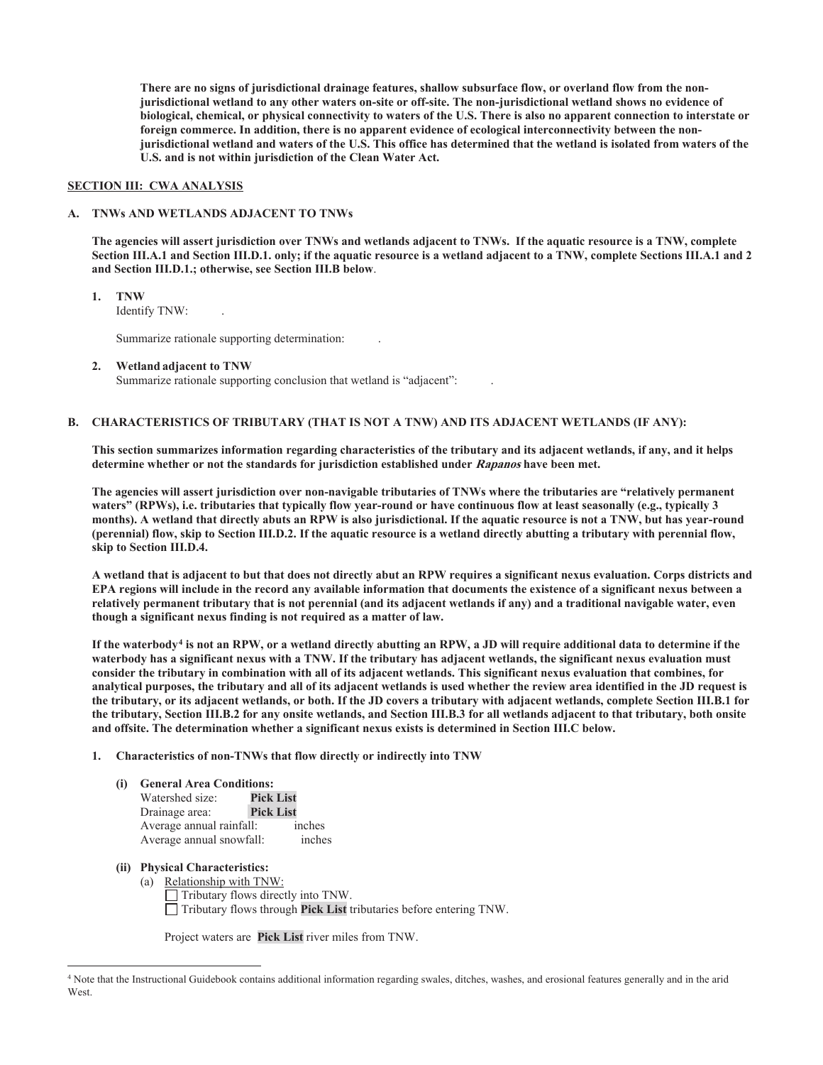**There are no signs of jurisdictional drainage features, shallow subsurface flow, or overland flow from the nonjurisdictional wetland to any other waters on-site or off-site. The non-jurisdictional wetland shows no evidence of biological, chemical, or physical connectivity to waters of the U.S. There is also no apparent connection to interstate or foreign commerce. In addition, there is no apparent evidence of ecological interconnectivity between the nonjurisdictional wetland and waters of the U.S. This office has determined that the wetland is isolated from waters of the U.S. and is not within jurisdiction of the Clean Water Act.** 

### **SECTION III: CWA ANALYSIS**

### **A. TNWs AND WETLANDS ADJACENT TO TNWs**

 **and Section III.D.1.; otherwise, see Section III.B below**. **The agencies will assert jurisdiction over TNWs and wetlands adjacent to TNWs. If the aquatic resource is a TNW, complete Section III.A.1 and Section III.D.1. only; if the aquatic resource is a wetland adjacent to a TNW, complete Sections III.A.1 and 2** 

**1. TNW**  Identify TNW: .

Summarize rationale supporting determination: .

**2. Wetland adjacent to TNW**  Summarize rationale supporting conclusion that wetland is "adjacent": .

#### **B. CHARACTERISTICS OF TRIBUTARY (THAT IS NOT A TNW) AND ITS ADJACENT WETLANDS (IF ANY):**

**This section summarizes information regarding characteristics of the tributary and its adjacent wetlands, if any, and it helps determine whether or not the standards for jurisdiction established under Rapanos have been met.** 

skip to Section III.D.4. **The agencies will assert jurisdiction over non-navigable tributaries of TNWs where the tributaries are "relatively permanent waters" (RPWs), i.e. tributaries that typically flow year-round or have continuous flow at least seasonally (e.g., typically 3 months). A wetland that directly abuts an RPW is also jurisdictional. If the aquatic resource is not a TNW, but has year-round (perennial) flow, skip to Section III.D.2. If the aquatic resource is a wetland directly abutting a tributary with perennial flow,** 

A wetland that is adjacent to but that does not directly abut an RPW requires a significant nexus evaluation. Corps districts and **EPA regions will include in the record any available information that documents the existence of a significant nexus between a relatively permanent tributary that is not perennial (and its adjacent wetlands if any) and a traditional navigable water, even though a significant nexus finding is not required as a matter of law.** 

 **and offsite. The determination whether a significant nexus exists is determined in Section III.C below. If the waterbody4 is not an RPW, or a wetland directly abutting an RPW, a JD will require additional data to determine if the waterbody has a significant nexus with a TNW. If the tributary has adjacent wetlands, the significant nexus evaluation must consider the tributary in combination with all of its adjacent wetlands. This significant nexus evaluation that combines, for analytical purposes, the tributary and all of its adjacent wetlands is used whether the review area identified in the JD request is the tributary, or its adjacent wetlands, or both. If the JD covers a tributary with adjacent wetlands, complete Section III.B.1 for the tributary, Section III.B.2 for any onsite wetlands, and Section III.B.3 for all wetlands adjacent to that tributary, both onsite** 

### **1. Characteristics of non-TNWs that flow directly or indirectly into TNW**

#### **(i) General Area Conditions:**

| Watershed size:          | <b>Pick List</b> |        |
|--------------------------|------------------|--------|
| Drainage area:           | <b>Pick List</b> |        |
| Average annual rainfall: |                  | inches |
| Average annual snowfall: |                  | inches |

# **(ii) Physical Characteristics:**

 (a) Relationship with TNW: Tributary flows directly into TNW. Tributary flows through **Pick List** tributaries before entering TNW.

Project waters are **Pick List** river miles from TNW.

<sup>4</sup> Note that the Instructional Guidebook contains additional information regarding swales, ditches, washes, and erosional features generally and in the arid **West**.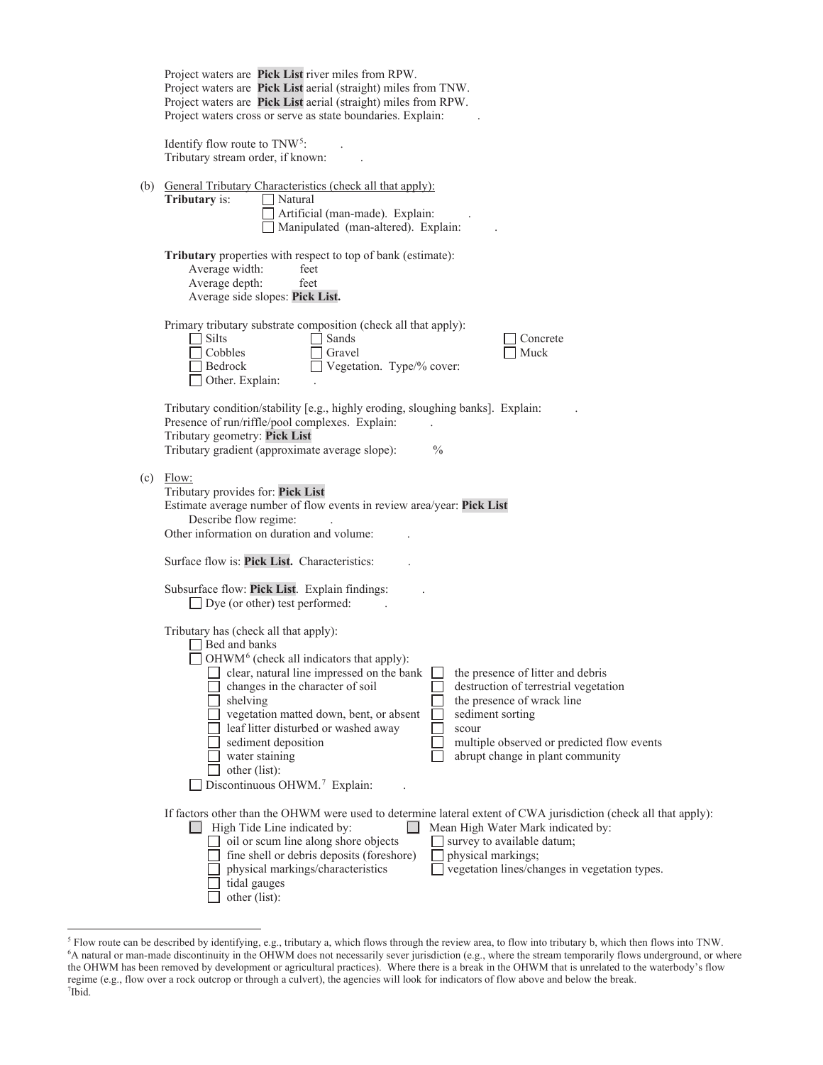|  | Project waters are Pick List river miles from RPW.<br>Project waters are Pick List aerial (straight) miles from TNW.<br>Project waters are Pick List aerial (straight) miles from RPW.<br>Project waters cross or serve as state boundaries. Explain:                                                                                                                                                                                                                                                                                                                                                                |
|--|----------------------------------------------------------------------------------------------------------------------------------------------------------------------------------------------------------------------------------------------------------------------------------------------------------------------------------------------------------------------------------------------------------------------------------------------------------------------------------------------------------------------------------------------------------------------------------------------------------------------|
|  | Identify flow route to TNW <sup>5</sup> :<br>Tributary stream order, if known:                                                                                                                                                                                                                                                                                                                                                                                                                                                                                                                                       |
|  | (b) General Tributary Characteristics (check all that apply):<br>Tributary is:<br>Natural<br>Artificial (man-made). Explain:<br>Manipulated (man-altered). Explain:                                                                                                                                                                                                                                                                                                                                                                                                                                                  |
|  | Tributary properties with respect to top of bank (estimate):<br>Average width:<br>feet<br>Average depth:<br>feet<br>Average side slopes: Pick List.                                                                                                                                                                                                                                                                                                                                                                                                                                                                  |
|  | Primary tributary substrate composition (check all that apply):<br>Silts<br>Sands<br>Concrete<br>Cobbles<br>Gravel<br>Muck<br>Vegetation. Type/% cover:<br>Bedrock<br>Other. Explain:                                                                                                                                                                                                                                                                                                                                                                                                                                |
|  | Tributary condition/stability [e.g., highly eroding, sloughing banks]. Explain:<br>Presence of run/riffle/pool complexes. Explain:<br>Tributary geometry: Pick List<br>Tributary gradient (approximate average slope):<br>$\frac{0}{0}$                                                                                                                                                                                                                                                                                                                                                                              |
|  | $(c)$ Flow:<br>Tributary provides for: Pick List<br>Estimate average number of flow events in review area/year: Pick List<br>Describe flow regime:<br>Other information on duration and volume:                                                                                                                                                                                                                                                                                                                                                                                                                      |
|  | Surface flow is: Pick List. Characteristics:                                                                                                                                                                                                                                                                                                                                                                                                                                                                                                                                                                         |
|  | Subsurface flow: Pick List. Explain findings:<br>$\Box$ Dye (or other) test performed:                                                                                                                                                                                                                                                                                                                                                                                                                                                                                                                               |
|  | Tributary has (check all that apply):<br>Bed and banks<br>OHWM <sup>6</sup> (check all indicators that apply):<br>clear, natural line impressed on the bank<br>the presence of litter and debris<br>destruction of terrestrial vegetation<br>changes in the character of soil<br>the presence of wrack line<br>shelving<br>vegetation matted down, bent, or absent<br>sediment sorting<br>leaf litter disturbed or washed away<br>scour<br>sediment deposition<br>multiple observed or predicted flow events<br>water staining<br>abrupt change in plant community<br>other (list):<br>Discontinuous OHWM.7 Explain: |
|  | If factors other than the OHWM were used to determine lateral extent of CWA jurisdiction (check all that apply):<br>$\Box$ High Tide Line indicated by:<br>Mean High Water Mark indicated by:<br>$\Box$<br>oil or scum line along shore objects<br>survey to available datum;<br>fine shell or debris deposits (foreshore)<br>physical markings;<br>physical markings/characteristics<br>vegetation lines/changes in vegetation types.<br>tidal gauges<br>other (list):                                                                                                                                              |

 the OHWM has been removed by development or agricultural practices). Where there is a break in the OHWM that is unrelated to the waterbody's flow  ${}^5$  Flow route can be described by identifying, e.g., tributary a, which flows through the review area, to flow into tributary b, which then flows into TNW.<br><sup>6</sup>A natural or man-made discontinuity in the OHWM does not ne regime (e.g., flow over a rock outcrop or through a culvert), the agencies will look for indicators of flow above and below the break.<br><sup>7</sup>Ibid  $7$ Ibid.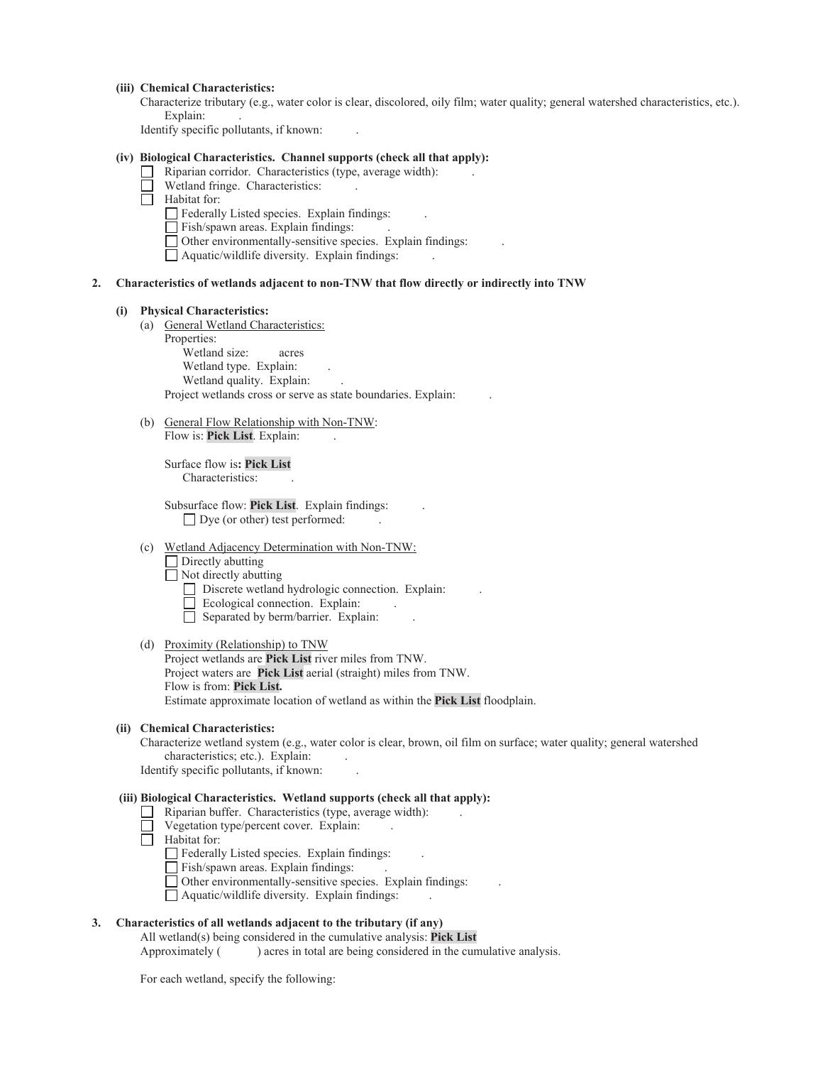#### **(iii) Chemical Characteristics:**

Explain: . Characterize tributary (e.g., water color is clear, discolored, oily film; water quality; general watershed characteristics, etc.).

Identify specific pollutants, if known: .

# **(iv) Biological Characteristics. Channel supports (check all that apply):**

- $\Box$  Riparian corridor. Characteristics (type, average width):
- Wetland fringe. Characteristics:
- Habitat for:
	- Federally Listed species. Explain findings:  $\qquad \qquad$ .
	- Fish/spawn areas. Explain findings: . . .
	- Other environmentally-sensitive species. Explain findings: .
	- Aquatic/wildlife diversity. Explain findings: .

#### **2. Characteristics of wetlands adjacent to non-TNW that flow directly or indirectly into TNW**

#### **(i) Physical Characteristics:**

(a) General Wetland Characteristics:

 Properties: Wetland size: acres Wetland type. Explain: Wetland quality. Explain: Project wetlands cross or serve as state boundaries. Explain: .

(b) General Flow Relationship with Non-TNW: Flow is: **Pick List**. Explain:

> Surface flow is**: Pick List**  Characteristics: .

 Subsurface flow: **Pick List**. Explain findings: .  $\Box$  Dye (or other) test performed:

(c) Wetland Adjacency Determination with Non-TNW:

Directly abutting

 $\Box$  Not directly abutting

- $\Box$  Discrete wetland hydrologic connection. Explain:
- Ecological connection. Explain:
- $\Box$  Separated by berm/barrier. Explain:

### (d) Proximity (Relationship) to TNW

Project wetlands are **Pick List** river miles from TNW. Project waters are **Pick List** aerial (straight) miles from TNW. Flow is from: **Pick List.**  Estimate approximate location of wetland as within the **Pick List** floodplain.

#### **(ii) Chemical Characteristics:**

characteristics; etc.). Explain: . Characterize wetland system (e.g., water color is clear, brown, oil film on surface; water quality; general watershed

Identify specific pollutants, if known: .

# **(iii) Biological Characteristics. Wetland supports (check all that apply):**

- $\Box$  Riparian buffer. Characteristics (type, average width):
- Vegetation type/percent cover. Explain: .
- Habitat for:
	- $\Box$  Federally Listed species. Explain findings:
	- Fish/spawn areas. Explain findings:
	- Other environmentally-sensitive species. Explain findings: .
	- $\Box$  Aquatic/wildlife diversity. Explain findings:

### **3. Characteristics of all wetlands adjacent to the tributary (if any)**

All wetland(s) being considered in the cumulative analysis: **Pick List** 

Approximately ( ) acres in total are being considered in the cumulative analysis.

For each wetland, specify the following: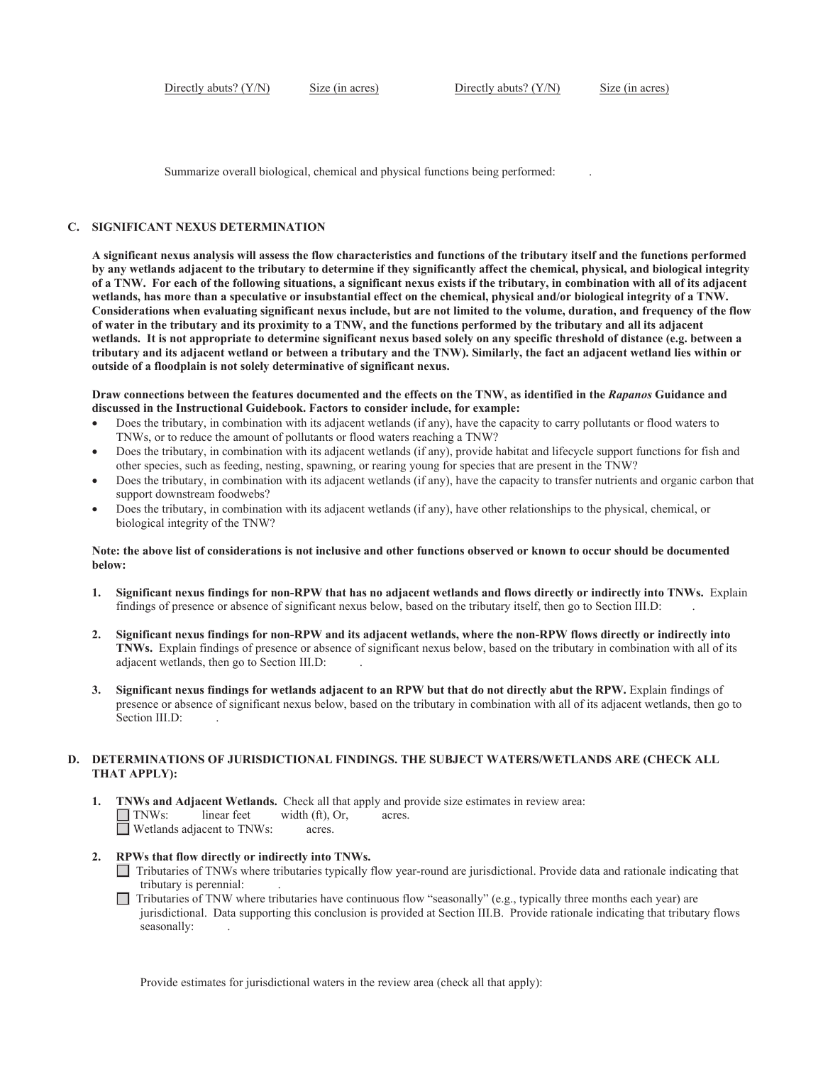Summarize overall biological, chemical and physical functions being performed: .

#### **C. SIGNIFICANT NEXUS DETERMINATION**

wetlands, has more than a speculative or insubstantial effect on the chemical, physical and/or biological integrity of a TNW. **A significant nexus analysis will assess the flow characteristics and functions of the tributary itself and the functions performed by any wetlands adjacent to the tributary to determine if they significantly affect the chemical, physical, and biological integrity of a TNW. For each of the following situations, a significant nexus exists if the tributary, in combination with all of its adjacent**  Considerations when evaluating significant nexus include, but are not limited to the volume, duration, and frequency of the flow **of water in the tributary and its proximity to a TNW, and the functions performed by the tributary and all its adjacent wetlands. It is not appropriate to determine significant nexus based solely on any specific threshold of distance (e.g. between a tributary and its adjacent wetland or between a tributary and the TNW). Similarly, the fact an adjacent wetland lies within or outside of a floodplain is not solely determinative of significant nexus.** 

**Draw connections between the features documented and the effects on the TNW, as identified in the** *Rapanos* **Guidance and discussed in the Instructional Guidebook. Factors to consider include, for example:** 

- Does the tributary, in combination with its adjacent wetlands (if any), have the capacity to carry pollutants or flood waters to TNWs, or to reduce the amount of pollutants or flood waters reaching a TNW?
- Does the tributary, in combination with its adjacent wetlands (if any), provide habitat and lifecycle support functions for fish and other species, such as feeding, nesting, spawning, or rearing young for species that are present in the TNW?
- Does the tributary, in combination with its adjacent wetlands (if any), have the capacity to transfer nutrients and organic carbon that support downstream foodwebs?
- Does the tributary, in combination with its adjacent wetlands (if any), have other relationships to the physical, chemical, or biological integrity of the TNW?

#### **Note: the above list of considerations is not inclusive and other functions observed or known to occur should be documented below:**

- findings of presence or absence of significant nexus below, based on the tributary itself, then go to Section III.D: . **1. Significant nexus findings for non-RPW that has no adjacent wetlands and flows directly or indirectly into TNWs.** Explain
- **2. Significant nexus findings for non-RPW and its adjacent wetlands, where the non-RPW flows directly or indirectly into TNWs.** Explain findings of presence or absence of significant nexus below, based on the tributary in combination with all of its adjacent wetlands, then go to Section III.D: .
- Section III.D: **3. Significant nexus findings for wetlands adjacent to an RPW but that do not directly abut the RPW.** Explain findings of presence or absence of significant nexus below, based on the tributary in combination with all of its adjacent wetlands, then go to

### **D. DETERMINATIONS OF JURISDICTIONAL FINDINGS. THE SUBJECT WATERS/WETLANDS ARE (CHECK ALL THAT APPLY):**

- **1. TNWs and Adjacent Wetlands.** Check all that apply and provide size estimates in review area:  $\Box$  TNWs: linear feet width (ft), Or, acres. Wetlands adjacent to TNWs: acres.
- **2. RPWs that flow directly or indirectly into TNWs.**
	- Tributaries of TNWs where tributaries typically flow year-round are jurisdictional. Provide data and rationale indicating that tributary is perennial:
	- $\Box$  Tributaries of TNW where tributaries have continuous flow "seasonally" (e.g., typically three months each year) are jurisdictional. Data supporting this conclusion is provided at Section III.B. Provide rationale indicating that tributary flows seasonally:

Provide estimates for jurisdictional waters in the review area (check all that apply):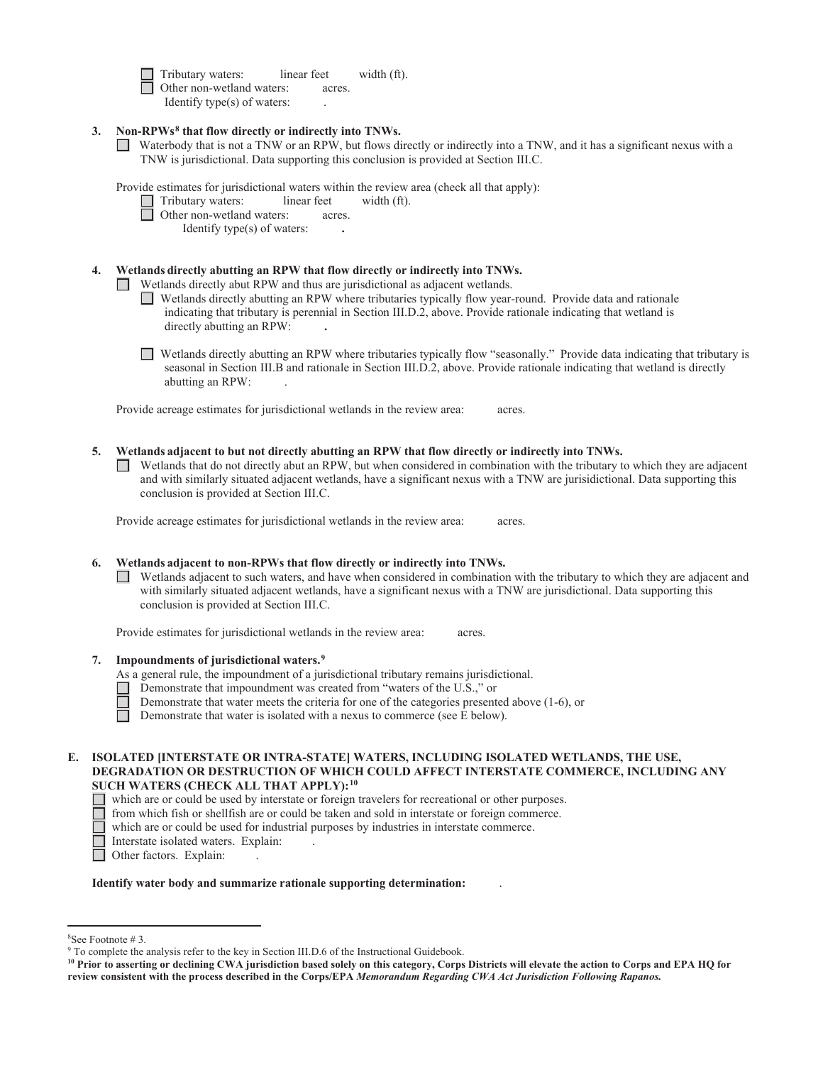Tributary waters: linear feet width (ft). Other non-wetland waters: acres. Identify type(s) of waters: .

- **3. Non-RPWs8 that flow directly or indirectly into TNWs.** 
	- Waterbody that is not a TNW or an RPW, but flows directly or indirectly into a TNW, and it has a significant nexus with a TNW is jurisdictional. Data supporting this conclusion is provided at Section III.C.

Provide estimates for jurisdictional waters within the review area (check all that apply):

- $\Box$  Tributary waters: linear feet width (ft).
- Other non-wetland waters: acres.

Identify type(s) of waters: **.**

### **4. Wetlands directly abutting an RPW that flow directly or indirectly into TNWs.**

Wetlands directly abut RPW and thus are jurisdictional as adjacent wetlands.

- Wetlands directly abutting an RPW where tributaries typically flow year-round. Provide data and rationale indicating that tributary is perennial in Section III.D.2, above. Provide rationale indicating that wetland is directly abutting an RPW: **.**
- Wetlands directly abutting an RPW where tributaries typically flow "seasonally." Provide data indicating that tributary is seasonal in Section III.B and rationale in Section III.D.2, above. Provide rationale indicating that wetland is directly abutting an RPW: .

Provide acreage estimates for jurisdictional wetlands in the review area: acres.

- **5. Wetlands adjacent to but not directly abutting an RPW that flow directly or indirectly into TNWs.** 
	- conclusion is provided at Section III.C. Wetlands that do not directly abut an RPW, but when considered in combination with the tributary to which they are adjacent and with similarly situated adjacent wetlands, have a significant nexus with a TNW are jurisidictional. Data supporting this

Provide acreage estimates for jurisdictional wetlands in the review area: acres.

### **6. Wetlands adjacent to non-RPWs that flow directly or indirectly into TNWs.**

Wetlands adjacent to such waters, and have when considered in combination with the tributary to which they are adjacent and with similarly situated adjacent wetlands, have a significant nexus with a TNW are jurisdictional. Data supporting this conclusion is provided at Section III.C.

Provide estimates for jurisdictional wetlands in the review area: acres.

### **7. Impoundments of jurisdictional waters.9**

As a general rule, the impoundment of a jurisdictional tributary remains jurisdictional.

- Demonstrate that impoundment was created from "waters of the U.S.," or
- Demonstrate that water meets the criteria for one of the categories presented above (1-6), or

 $\Box$ Demonstrate that water is isolated with a nexus to commerce (see E below).

# **E. ISOLATED [INTERSTATE OR INTRA-STATE] WATERS, INCLUDING ISOLATED WETLANDS, THE USE, DEGRADATION OR DESTRUCTION OF WHICH COULD AFFECT INTERSTATE COMMERCE, INCLUDING ANY SUCH WATERS (CHECK ALL THAT APPLY):10**

П which are or could be used by interstate or foreign travelers for recreational or other purposes.

- Ē from which fish or shellfish are or could be taken and sold in interstate or foreign commerce.
	- which are or could be used for industrial purposes by industries in interstate commerce.
	- Interstate isolated waters. Explain: .
- Other factors. Explain: .

### **Identify water body and summarize rationale supporting determination:** .

<sup>8</sup> See Footnote # 3.

<sup>&</sup>lt;sup>9</sup> To complete the analysis refer to the key in Section III.D.6 of the Instructional Guidebook.

**<sup>10</sup> Prior to asserting or declining CWA jurisdiction based solely on this category, Corps Districts will elevate the action to Corps and EPA HQ for review consistent with the process described in the Corps/EPA** *Memorandum Regarding CWA Act Jurisdiction Following Rapanos.*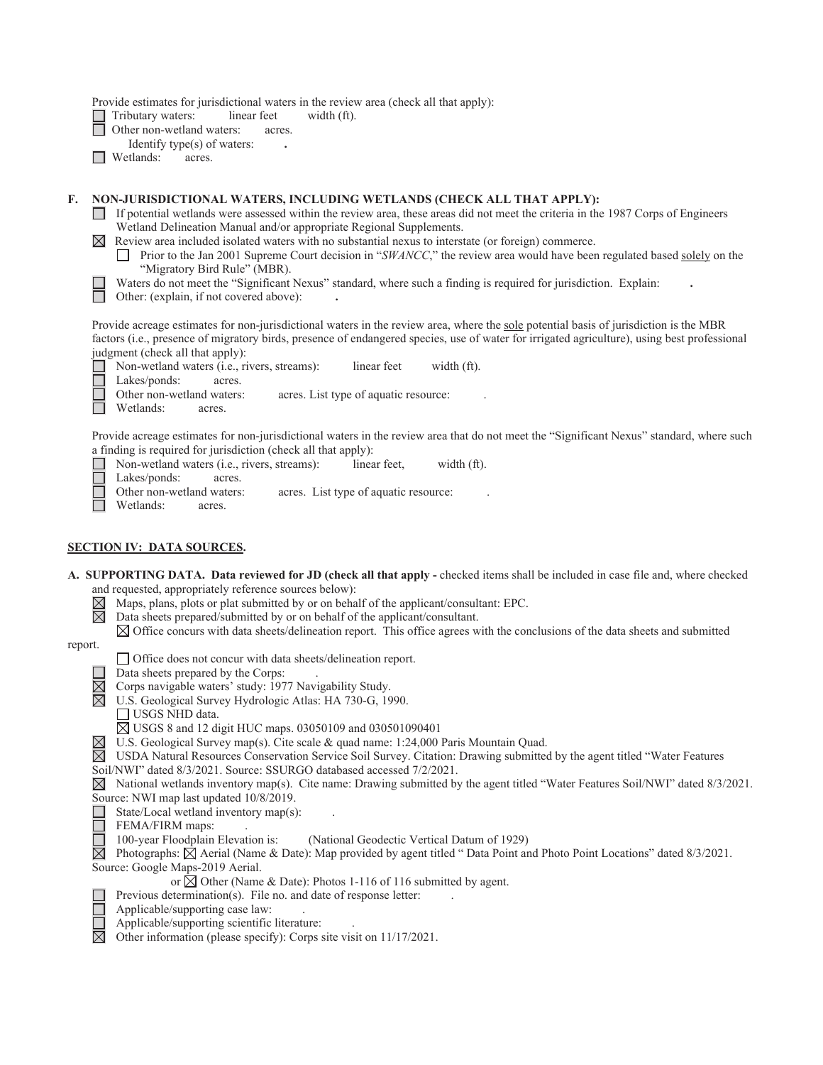Provide estimates for jurisdictional waters in the review area (check all that apply):

- Tributary waters: linear feet width (ft).
- Other non-wetland waters: acres.
- Identify type(s) of waters: **.**
- Wetlands: acres.

# **F. NON-JURISDICTIONAL WATERS, INCLUDING WETLANDS (CHECK ALL THAT APPLY):**

If potential wetlands were assessed within the review area, these areas did not meet the criteria in the 1987 Corps of Engineers Wetland Delineation Manual and/or appropriate Regional Supplements.

Review area included isolated waters with no substantial nexus to interstate (or foreign) commerce.

Prior to the Jan 2001 Supreme Court decision in "*SWANCC*," the review area would have been regulated based solely on the  $\Box$ "Migratory Bird Rule" (MBR).

Waters do not meet the "Significant Nexus" standard, where such a finding is required for jurisdiction. Explain:

Other: (explain, if not covered above): **.** 

Provide acreage estimates for non-jurisdictional waters in the review area, where the sole potential basis of jurisdiction is the MBR factors (i.e., presence of migratory birds, presence of endangered species, use of water for irrigated agriculture), using best professional judgment (check all that apply):

Non-wetland waters (i.e., rivers, streams): linear feet width (ft).  $\Box$ П Lakes/ponds: acres. Other non-wetland waters: acres. List type of aquatic resource:

Wetlands: acres.

Provide acreage estimates for non-jurisdictional waters in the review area that do not meet the "Significant Nexus" standard, where such a finding is required for jurisdiction (check all that apply):

- $\Box$ Non-wetland waters (i.e., rivers, streams): linear feet, width (ft).
- Lakes/ponds: acres.

Other non-wetland waters: acres. List type of aquatic resource:

Ħ Wetlands: acres.

## **SECTION IV: DATA SOURCES.**

 **A. SUPPORTING DATA. Data reviewed for JD (check all that apply -** checked items shall be included in case file and, where checked and requested, appropriately reference sources below):

- $\boxtimes \boxtimes$ Maps, plans, plots or plat submitted by or on behalf of the applicant/consultant: EPC.
- Data sheets prepared/submitted by or on behalf of the applicant/consultant.
	- $\boxtimes$  Office concurs with data sheets/delineation report. This office agrees with the conclusions of the data sheets and submitted

report.

Office does not concur with data sheets/delineation report.

Data sheets prepared by the Corps: .

- $\boxtimes$  Corps navigable waters' study: 1977 Navigability Study.<br>  $\boxtimes$  U.S. Geological Survey Hydrologic Atlas: HA 730-G, 19
	- U.S. Geological Survey Hydrologic Atlas: HA 730-G, 1990.
	- USGS NHD data.

USGS 8 and 12 digit HUC maps. 03050109 and 030501090401

- $\boxtimes$  U.S. Geological Survey map(s). Cite scale & quad name: 1:24,000 Paris Mountain Quad.
- $\boxtimes$  USDA Natural Resources Conservation Service Soil Survey. Citation: Drawing submitted by the agent titled "Water Features"
- Soil/NWI" dated 8/3/2021. Source: SSURGO databased accessed 7/2/2021.
- $\boxtimes$  National wetlands inventory map(s). Cite name: Drawing submitted by the agent titled "Water Features Soil/NWI" dated 8/3/2021.

Source: NWI map last updated 10/8/2019.  $\Box$ State/Local wetland inventory map(s):

FEMA/FIRM maps: .

- 
- 100-year Floodplain Elevation is: (National Geodectic Vertical Datum of 1929)
- Photographs:  $\dot{\boxtimes}$  Aerial (Name & Date): Map provided by agent titled "Data Point and Photo Point Locations" dated 8/3/2021. Source: Google Maps-2019 Aerial.

or  $\boxtimes$  Other (Name & Date): Photos 1-116 of 116 submitted by agent.

- Previous determination(s). File no. and date of response letter:
- Applicable/supporting case law: .
- Applicable/supporting scientific literature: .
- $\overline{\boxtimes}$ Other information (please specify): Corps site visit on 11/17/2021.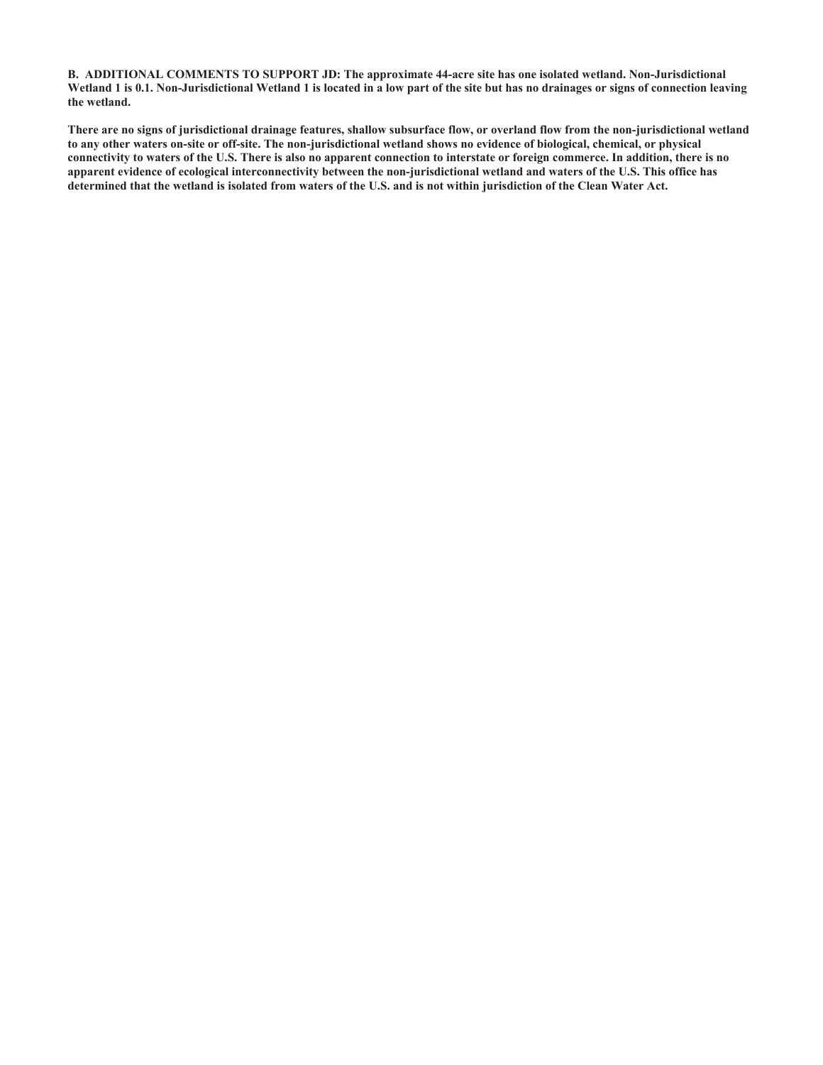**B. ADDITIONAL COMMENTS TO SUPPORT JD: The approximate 44-acre site has one isolated wetland. Non-Jurisdictional Wetland 1 is 0.1. Non-Jurisdictional Wetland 1 is located in a low part of the site but has no drainages or signs of connection leaving the wetland.** 

**There are no signs of jurisdictional drainage features, shallow subsurface flow, or overland flow from the non-jurisdictional wetland to any other waters on-site or off-site. The non-jurisdictional wetland shows no evidence of biological, chemical, or physical connectivity to waters of the U.S. There is also no apparent connection to interstate or foreign commerce. In addition, there is no apparent evidence of ecological interconnectivity between the non-jurisdictional wetland and waters of the U.S. This office has determined that the wetland is isolated from waters of the U.S. and is not within jurisdiction of the Clean Water Act.**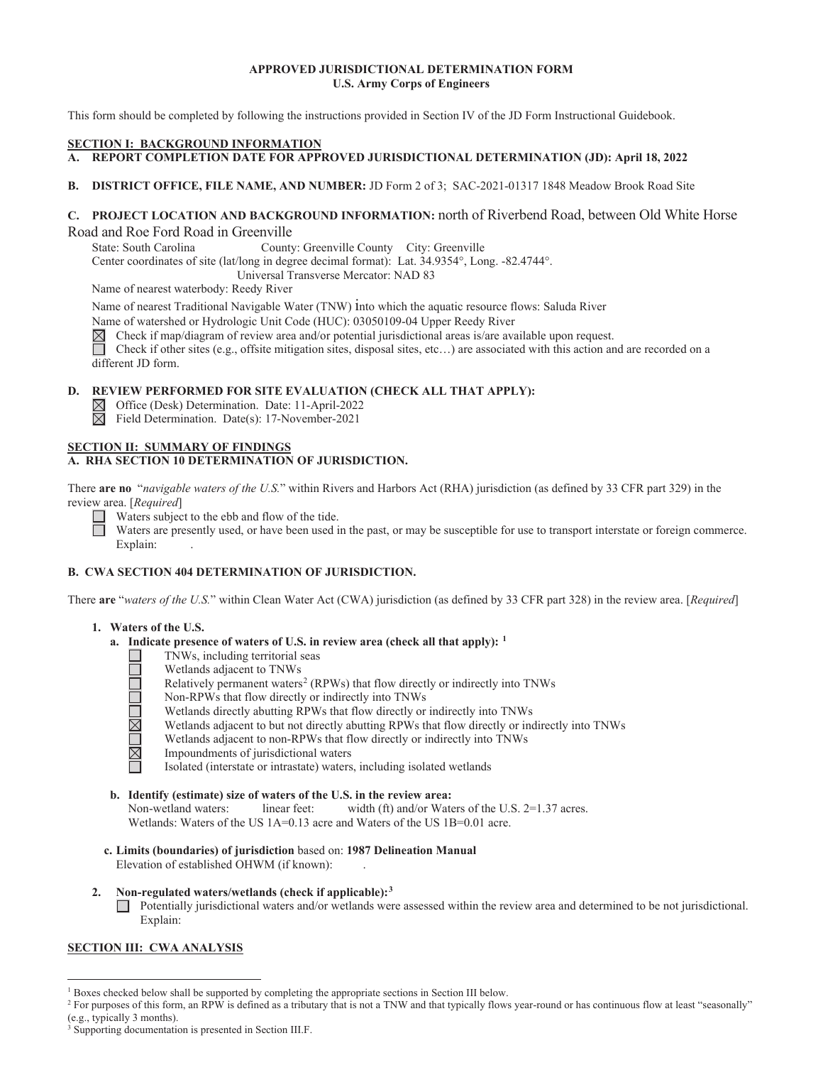# **APPROVED JURISDICTIONAL DETERMINATION FORM U.S. Army Corps of Engineers**

This form should be completed by following the instructions provided in Section IV of the JD Form Instructional Guidebook.

### **SECTION I: BACKGROUND INFORMATION**

- A. REPORT COMPLETION DATE FOR APPROVED JURISDICTIONAL DETERMINATION (JD): April 18, 2022
- **B**. **DISTRICT OFFICE, FILE NAME, AND NUMBER:** JD Form 2 of 3; SAC-2021-01317 1848 Meadow Brook Road Site

# **C. PROJECT LOCATION AND BACKGROUND INFORMATION:** north of Riverbend Road, between Old White Horse Road and Roe Ford Road in Greenville

State: South Carolina County: Greenville County City: Greenville

Center coordinates of site (lat/long in degree decimal format): Lat. 34.9354°, Long. -82.4744°.

Universal Transverse Mercator: NAD 83

Name of nearest waterbody: Reedy River

Name of nearest Traditional Navigable Water (TNW) into which the aquatic resource flows: Saluda River

Name of watershed or Hydrologic Unit Code (HUC): 03050109-04 Upper Reedy River  $\boxtimes$  Check if map/diagram of review area and/or potential jurisdictional areas is/are ava $\Box$  Check if other sites (e.g., offsite mitigation

Check if map/diagram of review area and/or potential jurisdictional areas is/are available upon request.

 different JD form. Check if other sites (e.g., offsite mitigation sites, disposal sites, etc…) are associated with this action and are recorded on a

# **D. REVIEW PERFORMED FOR SITE EVALUATION (CHECK ALL THAT APPLY):**

Office (Desk) Determination. Date: 11-April-2022

 $\overline{\boxtimes}$  Field Determination. Date(s): 17-November-2021

### **SECTION II: SUMMARY OF FINDINGS A. RHA SECTION 10 DETERMINATION OF JURISDICTION.**

There **are no** "*navigable waters of the U.S.*" within Rivers and Harbors Act (RHA) jurisdiction (as defined by 33 CFR part 329) in the review area. [*Required*]

Waters subject to the ebb and flow of the tide.

 $\Box$ Waters are presently used, or have been used in the past, or may be susceptible for use to transport interstate or foreign commerce. Explain: Explain:

# **B. CWA SECTION 404 DETERMINATION OF JURISDICTION.**

There **are** "*waters of the U.S.*" within Clean Water Act (CWA) jurisdiction (as defined by 33 CFR part 328) in the review area. [*Required*]

# **1. Waters of the U.S.**

- **a. Indicate presence of waters of U.S. in review area (check all that apply): 1** 
	- TNWs, including territorial seas
	- Wetlands adjacent to TNWs
	- Relatively permanent waters<sup>2</sup> (RPWs) that flow directly or indirectly into TNWs
	- Non-RPWs that flow directly or indirectly into TNWs
	- Wetlands directly abutting RPWs that flow directly or indirectly into TNWs
	- Wetlands adjacent to but not directly abutting RPWs that flow directly or indirectly into TNWs
	- Wetlands adjacent to non-RPWs that flow directly or indirectly into TNWs
	- <u> JNUMUML</u> Impoundments of jurisdictional waters
		- Isolated (interstate or intrastate) waters, including isolated wetlands
- **b. Identify (estimate) size of waters of the U.S. in the review area:**  Non-wetland waters: linear feet: width (ft) and/or Waters of the U.S. 2=1.37 acres. Wetlands: Waters of the US 1A=0.13 acre and Waters of the US 1B=0.01 acre.
- **c. Limits (boundaries) of jurisdiction** based on: **1987 Delineation Manual** Elevation of established OHWM (if known):
- **2. Non-regulated waters/wetlands (check if applicable):3**

 $\Box$  Potentially jurisdictional waters and/or wetlands were assessed within the review area and determined to be not jurisdictional. Explain:

# **SECTION III: CWA ANALYSIS**

<sup>&</sup>lt;sup>1</sup> Boxes checked below shall be supported by completing the appropriate sections in Section III below.<br><sup>2</sup> For purposes of this form an PPW is defined as a tributory that is not a TNW and that tunically flows

<sup>&</sup>lt;sup>2</sup> For purposes of this form, an RPW is defined as a tributary that is not a TNW and that typically flows year-round or has continuous flow at least "seasonally" (e.g., typically 3 months).

<sup>&</sup>lt;sup>3</sup> Supporting documentation is presented in Section III.F.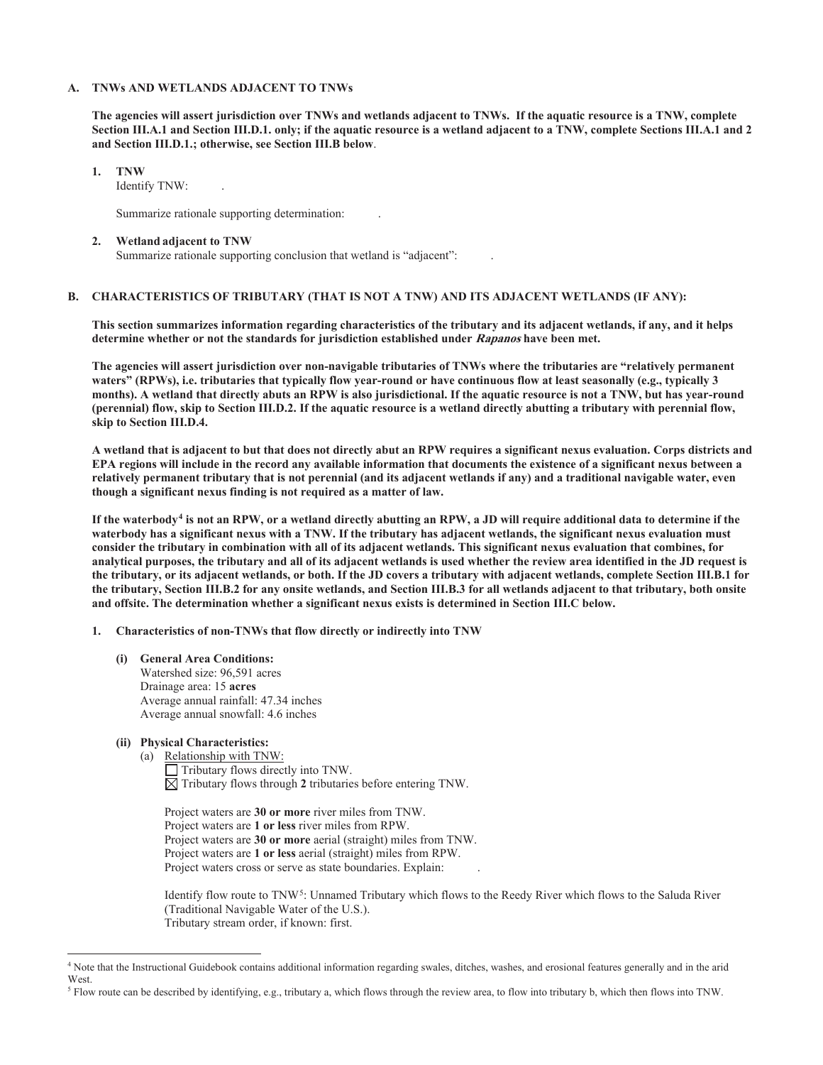### **A. TNWs AND WETLANDS ADJACENT TO TNWs**

 **and Section III.D.1.; otherwise, see Section III.B below**. **The agencies will assert jurisdiction over TNWs and wetlands adjacent to TNWs. If the aquatic resource is a TNW, complete Section III.A.1 and Section III.D.1. only; if the aquatic resource is a wetland adjacent to a TNW, complete Sections III.A.1 and 2** 

### **1. TNW**

Identify TNW: .

Summarize rationale supporting determination: .

#### **2. Wetland adjacent to TNW**

Summarize rationale supporting conclusion that wetland is "adjacent": .

# **B. CHARACTERISTICS OF TRIBUTARY (THAT IS NOT A TNW) AND ITS ADJACENT WETLANDS (IF ANY):**

**This section summarizes information regarding characteristics of the tributary and its adjacent wetlands, if any, and it helps determine whether or not the standards for jurisdiction established under Rapanos have been met.** 

skip to Section III.D.4. **The agencies will assert jurisdiction over non-navigable tributaries of TNWs where the tributaries are "relatively permanent waters" (RPWs), i.e. tributaries that typically flow year-round or have continuous flow at least seasonally (e.g., typically 3 months). A wetland that directly abuts an RPW is also jurisdictional. If the aquatic resource is not a TNW, but has year-round (perennial) flow, skip to Section III.D.2. If the aquatic resource is a wetland directly abutting a tributary with perennial flow,** 

**skip to Section III.D.4. A wetland that is adjacent to but that does not directly abut an RPW requires a significant nexus evaluation. Corps districts and EPA regions will include in the record any available information that documents the existence of a significant nexus between a relatively permanent tributary that is not perennial (and its adjacent wetlands if any) and a traditional navigable water, even though a significant nexus finding is not required as a matter of law.** 

 **and offsite. The determination whether a significant nexus exists is determined in Section III.C below.** If the waterbody<sup>4</sup> is not an RPW, or a wetland directly abutting an RPW, a JD will require additional data to determine if the **waterbody has a significant nexus with a TNW. If the tributary has adjacent wetlands, the significant nexus evaluation must consider the tributary in combination with all of its adjacent wetlands. This significant nexus evaluation that combines, for analytical purposes, the tributary and all of its adjacent wetlands is used whether the review area identified in the JD request is the tributary, or its adjacent wetlands, or both. If the JD covers a tributary with adjacent wetlands, complete Section III.B.1 for the tributary, Section III.B.2 for any onsite wetlands, and Section III.B.3 for all wetlands adjacent to that tributary, both onsite** 

### **1. Characteristics of non-TNWs that flow directly or indirectly into TNW**

 Watershed size: 96,591 acres Drainage area: 15 **acres (i) General Area Conditions:** Average annual rainfall: 47.34 inches Average annual snowfall: 4.6 inches

### **(ii) Physical Characteristics:**

(a) Relationship with TNW:

Tributary flows directly into TNW.  $\overline{\boxtimes}$  Tributary flows through 2 tributaries before entering TNW.

 Project waters are **1 or less** river miles from RPW. Project waters are **30 or more** river miles from TNW. Project waters are **30 or more** aerial (straight) miles from TNW. Project waters are **1 or less** aerial (straight) miles from RPW. Project waters cross or serve as state boundaries. Explain:

Identify flow route to TNW5: Unnamed Tributary which flows to the Reedy River which flows to the Saluda River (Traditional Navigable Water of the U.S.). Tributary stream order, if known: first.

<sup>4</sup> Note that the Instructional Guidebook contains additional information regarding swales, ditches, washes, and erosional features generally and in the arid West.

<sup>&</sup>lt;sup>5</sup> Flow route can be described by identifying, e.g., tributary a, which flows through the review area, to flow into tributary b, which then flows into TNW.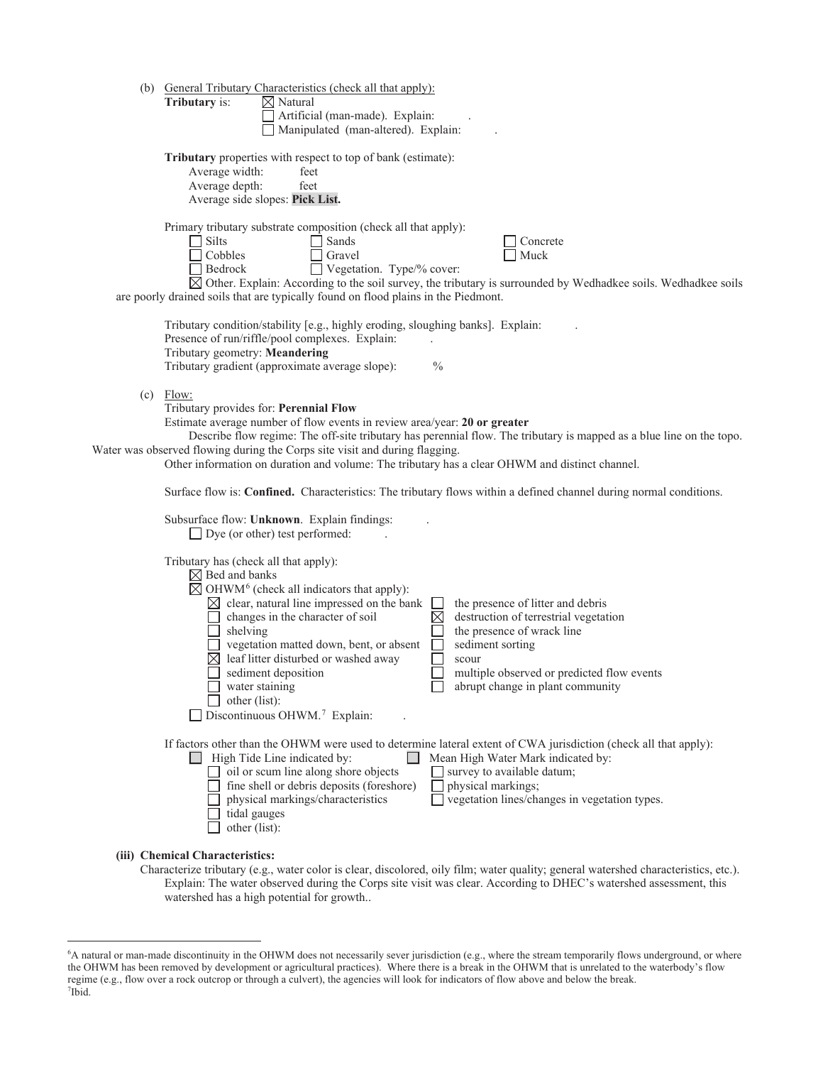|     | (b) General Tributary Characteristics (check all that apply):<br>Tributary is:<br>$\boxtimes$ Natural<br>Artificial (man-made). Explain:<br>Manipulated (man-altered). Explain:                                                                                                                                                                                                                                                                                                                                                                                                                                                                                             |
|-----|-----------------------------------------------------------------------------------------------------------------------------------------------------------------------------------------------------------------------------------------------------------------------------------------------------------------------------------------------------------------------------------------------------------------------------------------------------------------------------------------------------------------------------------------------------------------------------------------------------------------------------------------------------------------------------|
|     | Tributary properties with respect to top of bank (estimate):<br>Average width:<br>feet<br>Average depth:<br>feet<br>Average side slopes: Pick List.                                                                                                                                                                                                                                                                                                                                                                                                                                                                                                                         |
|     | Primary tributary substrate composition (check all that apply):<br>$\Box$ Silts<br>$\Box$ Sands<br>Concrete<br>$\Box$ Cobbles<br>Gravel<br>Muck<br>Vegetation. Type/% cover:<br>$\Box$ Bedrock<br>$\boxtimes$ Other. Explain: According to the soil survey, the tributary is surrounded by Wedhadkee soils. Wedhadkee soils<br>are poorly drained soils that are typically found on flood plains in the Piedmont.                                                                                                                                                                                                                                                           |
|     | Tributary condition/stability [e.g., highly eroding, sloughing banks]. Explain:<br>Presence of run/riffle/pool complexes. Explain:<br>Tributary geometry: Meandering<br>Tributary gradient (approximate average slope):<br>$\frac{0}{0}$                                                                                                                                                                                                                                                                                                                                                                                                                                    |
| (c) | Flow:<br>Tributary provides for: Perennial Flow<br>Estimate average number of flow events in review area/year: 20 or greater<br>Describe flow regime: The off-site tributary has perennial flow. The tributary is mapped as a blue line on the topo.<br>Water was observed flowing during the Corps site visit and during flagging.<br>Other information on duration and volume: The tributary has a clear OHWM and distinct channel.                                                                                                                                                                                                                                       |
|     | Surface flow is: Confined. Characteristics: The tributary flows within a defined channel during normal conditions.<br>Subsurface flow: Unknown. Explain findings:<br>$\Box$ Dye (or other) test performed:                                                                                                                                                                                                                                                                                                                                                                                                                                                                  |
|     | Tributary has (check all that apply):<br>$\boxtimes$ Bed and banks<br>$\boxtimes$ OHWM <sup>6</sup> (check all indicators that apply):<br>$\boxtimes$ clear, natural line impressed on the bank<br>the presence of litter and debris<br>destruction of terrestrial vegetation<br>changes in the character of soil<br>shelving<br>the presence of wrack line<br>vegetation matted down, bent, or absent<br>sediment sorting<br>leaf litter disturbed or washed away<br>scour<br>sediment deposition<br>multiple observed or predicted flow events<br>water staining<br>abrupt change in plant community<br>other (list):<br>$\Box$ Discontinuous OHWM. <sup>7</sup> Explain: |
|     | If factors other than the OHWM were used to determine lateral extent of CWA jurisdiction (check all that apply):<br>$\Box$ High Tide Line indicated by:<br>Mean High Water Mark indicated by:<br>$\Box$ oil or scum line along shore objects<br>survey to available datum;<br>fine shell or debris deposits (foreshore)<br>physical markings;<br>physical markings/characteristics<br>vegetation lines/changes in vegetation types.<br>tidal gauges<br>other (list):                                                                                                                                                                                                        |
|     | (iii) Chemical Characteristics:                                                                                                                                                                                                                                                                                                                                                                                                                                                                                                                                                                                                                                             |

Characterize tributary (e.g., water color is clear, discolored, oily film; water quality; general watershed characteristics, etc.). Explain: The water observed during the Corps site visit was clear. According to DHEC's watershed assessment, this watershed has a high potential for growth..

 the OHWM has been removed by development or agricultural practices). Where there is a break in the OHWM that is unrelated to the waterbody's flow 6 A natural or man-made discontinuity in the OHWM does not necessarily sever jurisdiction (e.g., where the stream temporarily flows underground, or where regime (e.g., flow over a rock outcrop or through a culvert), the agencies will look for indicators of flow above and below the break. 7  $7$ Ibid.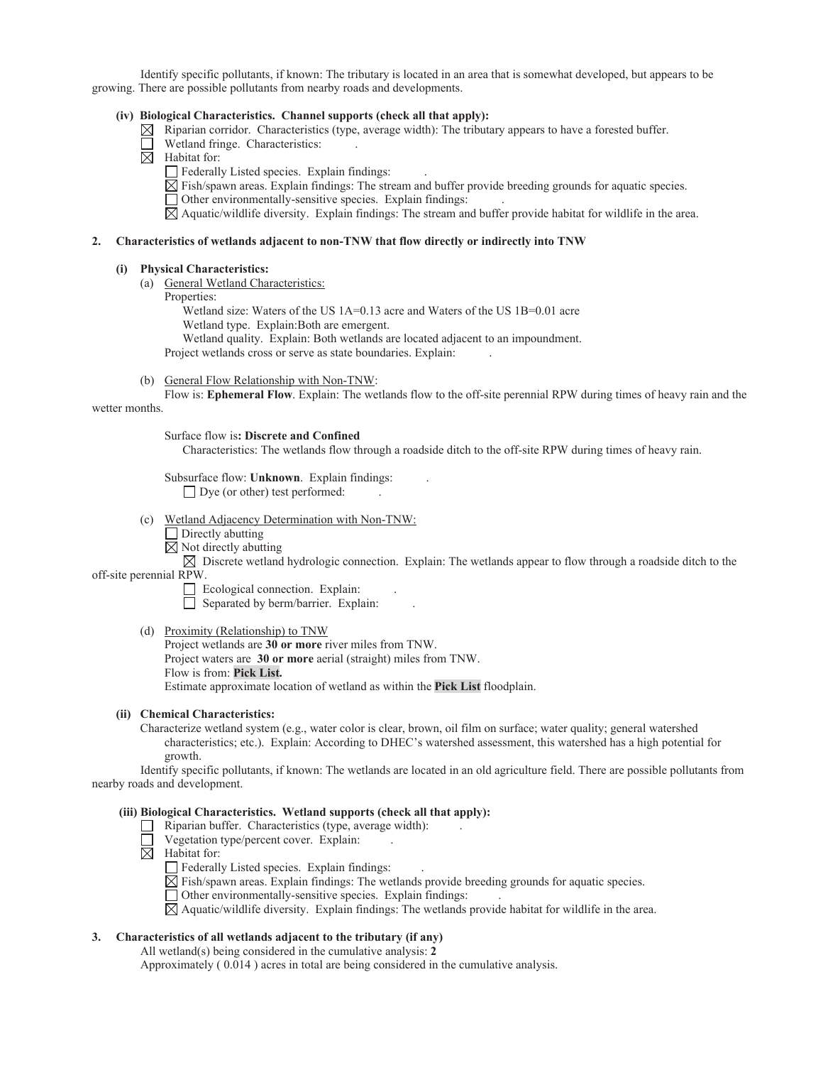Identify specific pollutants, if known: The tributary is located in an area that is somewhat developed, but appears to be growing. There are possible pollutants from nearby roads and developments.

### **(iv) Biological Characteristics. Channel supports (check all that apply):**

 $\boxtimes$  Riparian corridor. Characteristics (type, average width): The tributary appears to have a forested buffer.

- Wetland fringe. Characteristics: .
- $\overline{\boxtimes}$  Habitat for:
	- $\Box$  Federally Listed species. Explain findings:
	- Fish/spawn areas. Explain findings: The stream and buffer provide breeding grounds for aquatic species.
	- Other environmentally-sensitive species. Explain findings: .

Aquatic/wildlife diversity. Explain findings: The stream and buffer provide habitat for wildlife in the area.

#### **2. Characteristics of wetlands adjacent to non-TNW that flow directly or indirectly into TNW**

#### **(i) Physical Characteristics:**

- (a) General Wetland Characteristics:
	- Properties:

Wetland size: Waters of the US 1A=0.13 acre and Waters of the US 1B=0.01 acre Wetland type. Explain:Both are emergent.

Wetland quality. Explain: Both wetlands are located adjacent to an impoundment.

Project wetlands cross or serve as state boundaries. Explain: .

(b) General Flow Relationship with Non-TNW:

Flow is: **Ephemeral Flow**. Explain: The wetlands flow to the off-site perennial RPW during times of heavy rain and the wetter months.

Surface flow is**: Discrete and Confined** 

Characteristics: The wetlands flow through a roadside ditch to the off-site RPW during times of heavy rain.

Subsurface flow: **Unknown**. Explain findings: .

 $\Box$  Dye (or other) test performed:

- (c) Wetland Adjacency Determination with Non-TNW:
	- $\Box$  Directly abutting
	- $\boxtimes$  Not directly abutting

 $\boxtimes$  Discrete wetland hydrologic connection. Explain: The wetlands appear to flow through a roadside ditch to the off-site perennial RPW.

 $\Box$  Ecological connection. Explain:

Separated by berm/barrier. Explain:

(d) Proximity (Relationship) to TNW

Project wetlands are **30 or more** river miles from TNW. Project waters are **30 or more** aerial (straight) miles from TNW. Flow is from: **Pick List.**  Estimate approximate location of wetland as within the **Pick List** floodplain.

### **(ii) Chemical Characteristics:**

Characterize wetland system (e.g., water color is clear, brown, oil film on surface; water quality; general watershed characteristics; etc.). Explain: According to DHEC's watershed assessment, this watershed has a high potential for growth.

 Identify specific pollutants, if known: The wetlands are located in an old agriculture field. There are possible pollutants from nearby roads and development.

### **(iii) Biological Characteristics. Wetland supports (check all that apply):**

- $\Box$  Riparian buffer. Characteristics (type, average width):
- $\Box$  Vegetation type/percent cover. Explain:
- $\boxtimes$  Habitat for:

 $\Box$  Federally Listed species. Explain findings:

 $\boxtimes$  Fish/spawn areas. Explain findings: The wetlands provide breeding grounds for aquatic species.

Other environmentally-sensitive species. Explain findings: .

 $\boxtimes$  Aquatic/wildlife diversity. Explain findings: The wetlands provide habitat for wildlife in the area.

### **3. Characteristics of all wetlands adjacent to the tributary (if any)**

All wetland(s) being considered in the cumulative analysis: **2** 

Approximately ( 0.014 ) acres in total are being considered in the cumulative analysis.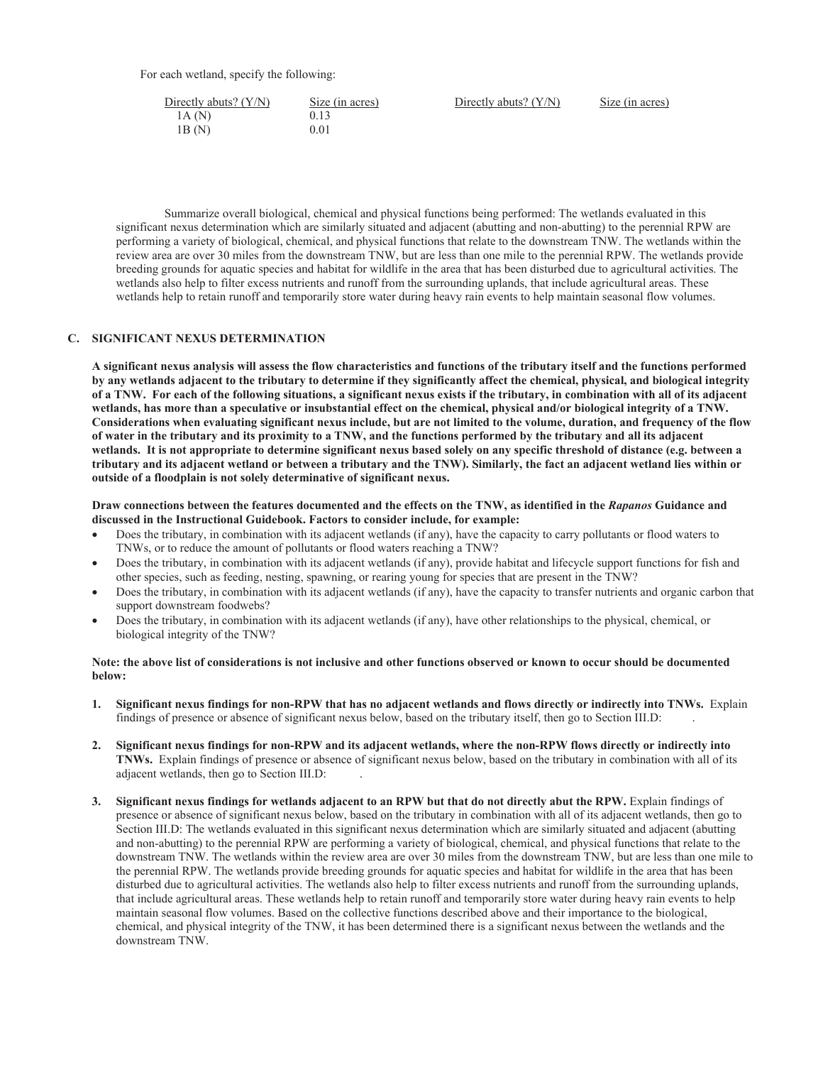For each wetland, specify the following:

| Directly abuts? $(Y/N)$ | Size (in acres) | Directly abuts? $(Y/N)$ | Size (in acres) |
|-------------------------|-----------------|-------------------------|-----------------|
| 1A(N)                   | 0.13            |                         |                 |
| 1B (N)                  | 0.01            |                         |                 |

Summarize overall biological, chemical and physical functions being performed: The wetlands evaluated in this significant nexus determination which are similarly situated and adjacent (abutting and non-abutting) to the perennial RPW are performing a variety of biological, chemical, and physical functions that relate to the downstream TNW. The wetlands within the review area are over 30 miles from the downstream TNW, but are less than one mile to the perennial RPW. The wetlands provide breeding grounds for aquatic species and habitat for wildlife in the area that has been disturbed due to agricultural activities. The wetlands also help to filter excess nutrients and runoff from the surrounding uplands, that include agricultural areas. These wetlands help to retain runoff and temporarily store water during heavy rain events to help maintain seasonal flow volumes.

### **C. SIGNIFICANT NEXUS DETERMINATION**

 **wetlands, has more than a speculative or insubstantial effect on the chemical, physical and/or biological integrity of a TNW. A significant nexus analysis will assess the flow characteristics and functions of the tributary itself and the functions performed by any wetlands adjacent to the tributary to determine if they significantly affect the chemical, physical, and biological integrity of a TNW. For each of the following situations, a significant nexus exists if the tributary, in combination with all of its adjacent Considerations when evaluating significant nexus include, but are not limited to the volume, duration, and frequency of the flow of water in the tributary and its proximity to a TNW, and the functions performed by the tributary and all its adjacent wetlands. It is not appropriate to determine significant nexus based solely on any specific threshold of distance (e.g. between a tributary and its adjacent wetland or between a tributary and the TNW). Similarly, the fact an adjacent wetland lies within or outside of a floodplain is not solely determinative of significant nexus.** 

 **discussed in the Instructional Guidebook. Factors to consider include, for example: Draw connections between the features documented and the effects on the TNW, as identified in the** *Rapanos* **Guidance and** 

- Does the tributary, in combination with its adjacent wetlands (if any), have the capacity to carry pollutants or flood waters to TNWs, or to reduce the amount of pollutants or flood waters reaching a TNW?
- Does the tributary, in combination with its adjacent wetlands (if any), provide habitat and lifecycle support functions for fish and other species, such as feeding, nesting, spawning, or rearing young for species that are present in the TNW?
- Does the tributary, in combination with its adjacent wetlands (if any), have the capacity to transfer nutrients and organic carbon that support downstream foodwebs?
- Does the tributary, in combination with its adjacent wetlands (if any), have other relationships to the physical, chemical, or biological integrity of the TNW?

### **Note: the above list of considerations is not inclusive and other functions observed or known to occur should be documented below:**

- findings of presence or absence of significant nexus below, based on the tributary itself, then go to Section III.D: . **1. Significant nexus findings for non-RPW that has no adjacent wetlands and flows directly or indirectly into TNWs.** Explain
- **2. Significant nexus findings for non-RPW and its adjacent wetlands, where the non-RPW flows directly or indirectly into TNWs.** Explain findings of presence or absence of significant nexus below, based on the tributary in combination with all of its adjacent wetlands, then go to Section III.D: .
- **3. Significant nexus findings for wetlands adjacent to an RPW but that do not directly abut the RPW.** Explain findings of presence or absence of significant nexus below, based on the tributary in combination with all of its adjacent wetlands, then go to Section III.D: The wetlands evaluated in this significant nexus determination which are similarly situated and adjacent (abutting and non-abutting) to the perennial RPW are performing a variety of biological, chemical, and physical functions that relate to the downstream TNW. The wetlands within the review area are over 30 miles from the downstream TNW, but are less than one mile to the perennial RPW. The wetlands provide breeding grounds for aquatic species and habitat for wildlife in the area that has been disturbed due to agricultural activities. The wetlands also help to filter excess nutrients and runoff from the surrounding uplands, that include agricultural areas. These wetlands help to retain runoff and temporarily store water during heavy rain events to help maintain seasonal flow volumes. Based on the collective functions described above and their importance to the biological, chemical, and physical integrity of the TNW, it has been determined there is a significant nexus between the wetlands and the downstream TNW.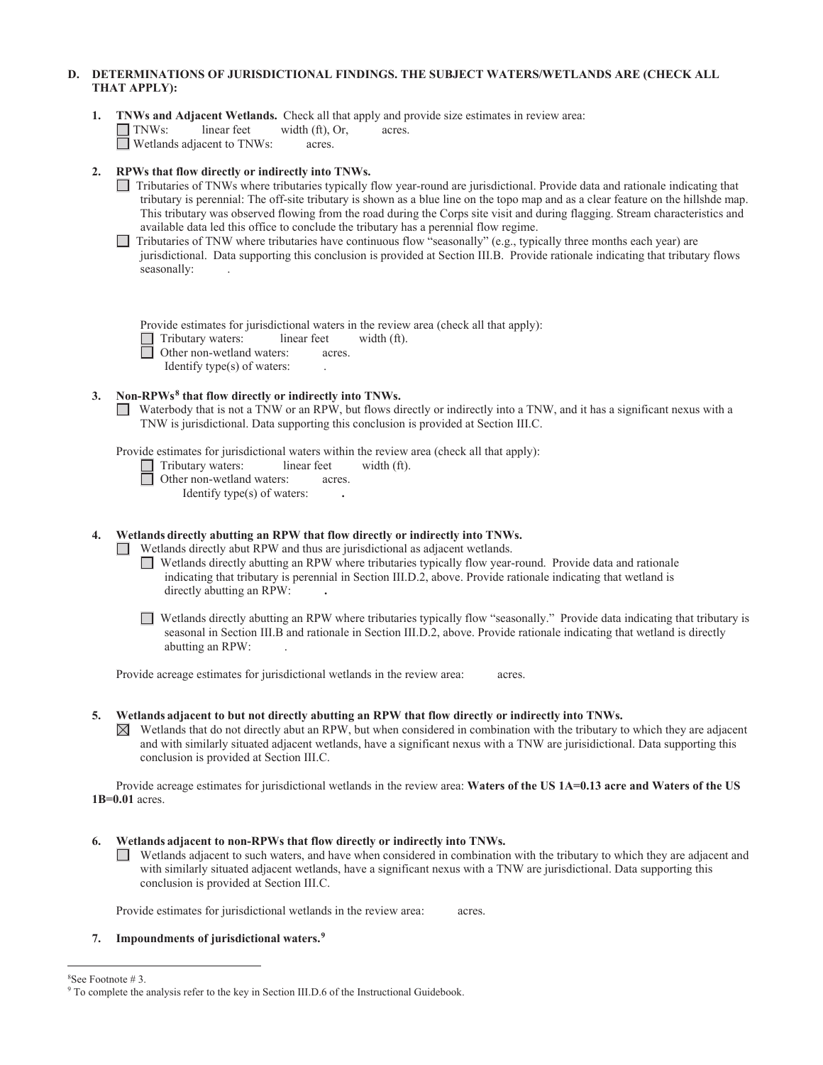# **D. DETERMINATIONS OF JURISDICTIONAL FINDINGS. THE SUBJECT WATERS/WETLANDS ARE (CHECK ALL THAT APPLY):**

|  |                                          |        |        | 1. TNWs and Adjacent Wetlands. Check all that apply and provide size estimates in review area: |  |
|--|------------------------------------------|--------|--------|------------------------------------------------------------------------------------------------|--|
|  | $\Box$ TNWs: linear feet width (ft), Or, |        | acres. |                                                                                                |  |
|  | $\Box$ Wetlands adiacent to TNWs:        | acres. |        |                                                                                                |  |

# **2. RPWs that flow directly or indirectly into TNWs.**

- Tributaries of TNWs where tributaries typically flow year-round are jurisdictional. Provide data and rationale indicating that tributary is perennial: The off-site tributary is shown as a blue line on the topo map and as a clear feature on the hillshde map. This tributary was observed flowing from the road during the Corps site visit and during flagging. Stream characteristics and available data led this office to conclude the tributary has a perennial flow regime.
- Tributaries of TNW where tributaries have continuous flow "seasonally" (e.g., typically three months each year) are jurisdictional. Data supporting this conclusion is provided at Section III.B. Provide rationale indicating that tributary flows seasonally:

Provide estimates for jurisdictional waters in the review area (check all that apply):

- $\Box$  Tributary waters: linear feet width (ft).<br>  $\Box$  Other non-wetland waters: acres.
	- Other non-wetland waters: acres.
	- Identify type(s) of waters: .

### **3. Non-RPWs8 that flow directly or indirectly into TNWs.**

Waterbody that is not a TNW or an RPW, but flows directly or indirectly into a TNW, and it has a significant nexus with a TNW is jurisdictional. Data supporting this conclusion is provided at Section III.C.

Provide estimates for jurisdictional waters within the review area (check all that apply):

- $\Box$  Tributary waters: linear feet width (ft).
	- Other non-wetland waters: acres.
		- Identify type(s) of waters: **.**

 **4. Wetlands directly abutting an RPW that flow directly or indirectly into TNWs.** 

Wetlands directly abut RPW and thus are jurisdictional as adjacent wetlands.

- Wetlands directly abutting an RPW where tributaries typically flow year-round. Provide data and rationale indicating that tributary is perennial in Section III.D.2, above. Provide rationale indicating that wetland is directly abutting an RPW: **.**
- Wetlands directly abutting an RPW where tributaries typically flow "seasonally." Provide data indicating that tributary is seasonal in Section III.B and rationale in Section III.D.2, above. Provide rationale indicating that wetland is directly abutting an RPW: .

Provide acreage estimates for jurisdictional wetlands in the review area: acres.

### **5. Wetlands adjacent to but not directly abutting an RPW that flow directly or indirectly into TNWs.**

conclusion is provided at Section III.C.  $\boxtimes$  Wetlands that do not directly abut an RPW, but when considered in combination with the tributary to which they are adjacent and with similarly situated adjacent wetlands, have a significant nexus with a TNW are jurisidictional. Data supporting this

Provide acreage estimates for jurisdictional wetlands in the review area: Waters of the US 1A=0.13 acre and Waters of the US **1B=0.01** acres.

- **6. Wetlands adjacent to non-RPWs that flow directly or indirectly into TNWs.** 
	- Wetlands adjacent to such waters, and have when considered in combination with the tributary to which they are adjacent and with similarly situated adjacent wetlands, have a significant nexus with a TNW are jurisdictional. Data supporting this conclusion is provided at Section III.C.

Provide estimates for jurisdictional wetlands in the review area: acres.

### **7. Impoundments of jurisdictional waters.9**

8 See Footnote # 3.

<sup>&</sup>lt;sup>9</sup> To complete the analysis refer to the key in Section III.D.6 of the Instructional Guidebook.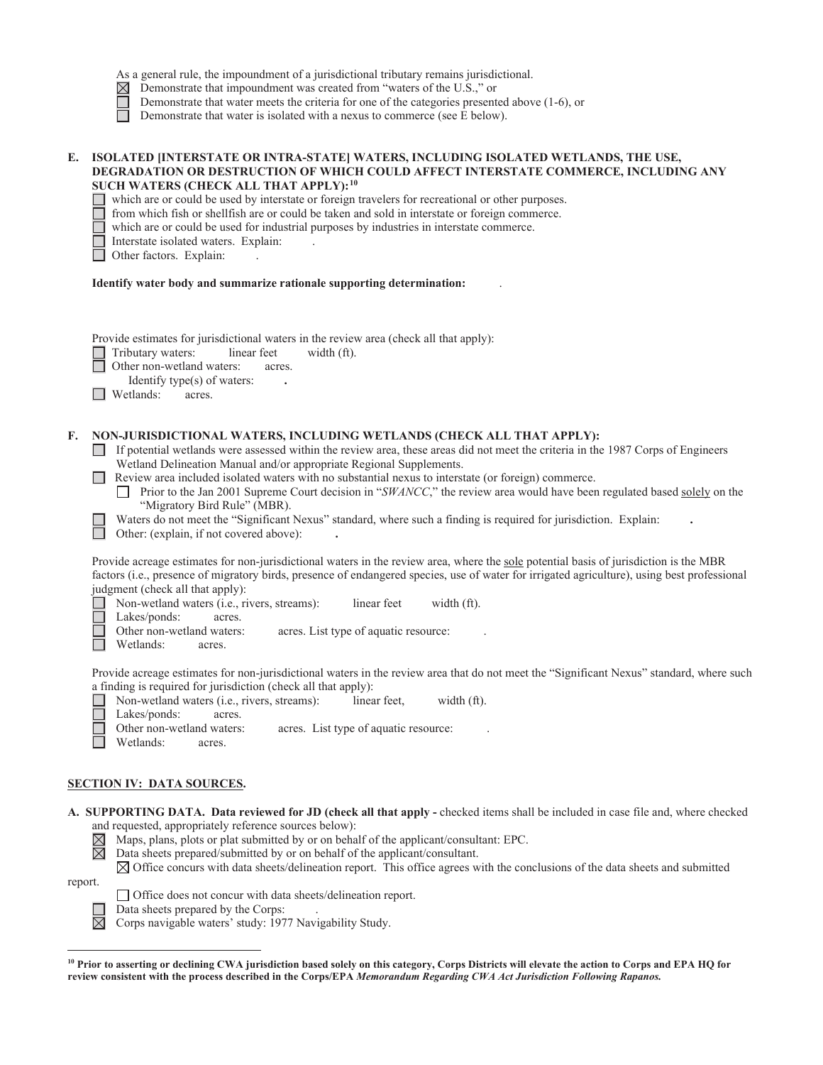|  | As a general rule, the impoundment of a jurisdictional tributary remains jurisdictional. |  |  |
|--|------------------------------------------------------------------------------------------|--|--|
|--|------------------------------------------------------------------------------------------|--|--|

- $\boxtimes$ Demonstrate that impoundment was created from "waters of the U.S.," or
	- Demonstrate that water meets the criteria for one of the categories presented above (1-6), or

Demonstrate that water is isolated with a nexus to commerce (see E below).

### **E. ISOLATED [INTERSTATE OR INTRA-STATE] WATERS, INCLUDING ISOLATED WETLANDS, THE USE, DEGRADATION OR DESTRUCTION OF WHICH COULD AFFECT INTERSTATE COMMERCE, INCLUDING ANY SUCH WATERS (CHECK ALL THAT APPLY):10**

which are or could be used by interstate or foreign travelers for recreational or other purposes.

from which fish or shellfish are or could be taken and sold in interstate or foreign commerce.

which are or could be used for industrial purposes by industries in interstate commerce.

Interstate isolated waters. Explain: .

Other factors. Explain: .

#### **Identify water body and summarize rationale supporting determination:** .

Provide estimates for jurisdictional waters in the review area (check all that apply):

Tributary waters: linear feet width (ft).

Other non-wetland waters: acres.

Identify type(s) of waters: **.** 

Wetlands: acres.

### **F. NON-JURISDICTIONAL WATERS, INCLUDING WETLANDS (CHECK ALL THAT APPLY):**

- If potential wetlands were assessed within the review area, these areas did not meet the criteria in the 1987 Corps of Engineers Wetland Delineation Manual and/or appropriate Regional Supplements.
- Review area included isolated waters with no substantial nexus to interstate (or foreign) commerce.
	- **Prior to the Jan 2001 Supreme Court decision in "***SWANCC***," the review area would have been regulated based <u>solely</u> on the** "Migratory Bird Rule" (MBR).
	- Waters do not meet the "Significant Nexus" standard, where such a finding is required for jurisdiction. Explain:

Other: (explain, if not covered above): **.** 

Provide acreage estimates for non-jurisdictional waters in the review area, where the sole potential basis of jurisdiction is the MBR factors (i.e., presence of migratory birds, presence of endangered species, use of water for irrigated agriculture), using best professional judgment (check all that apply):

Non-wetland waters (i.e., rivers, streams): linear feet width (ft).

Lakes/ponds: acres.

Other non-wetland waters: acres. List type of aquatic resource:

Wetlands: acres.

Provide acreage estimates for non-jurisdictional waters in the review area that do not meet the "Significant Nexus" standard, where such a finding is required for jurisdiction (check all that apply):

|              | Non-wetland waters ( <i>i.e.</i> , rivers, streams): | linear feet. | width $(ft)$ . |
|--------------|------------------------------------------------------|--------------|----------------|
| Lakes/ponds: | acres.                                               |              |                |

Maps, plans, plots or plat submitted by or on behalf of the applicant/consultant: EPC.

Other non-wetland waters: acres. List type of aquatic resource:

Wetlands: acres.

# **SECTION IV: DATA SOURCES.**

 **A. SUPPORTING DATA. Data reviewed for JD (check all that apply -** checked items shall be included in case file and, where checked and requested, appropriately reference sources below):

 $\overline{\boxtimes}$ 

 Data sheets prepared/submitted by or on behalf of the applicant/consultant.  $\boxtimes$  Office concurs with data sheets/delineation report. This office agrees with the conclusions of the data sheets and submitted

report.





Data sheets prepared by the Corps: .

 $\boxtimes$  Corps navigable waters' study: 1977 Navigability Study.

**<sup>10</sup> Prior to asserting or declining CWA jurisdiction based solely on this category, Corps Districts will elevate the action to Corps and EPA HQ for review consistent with the process described in the Corps/EPA** *Memorandum Regarding CWA Act Jurisdiction Following Rapanos.*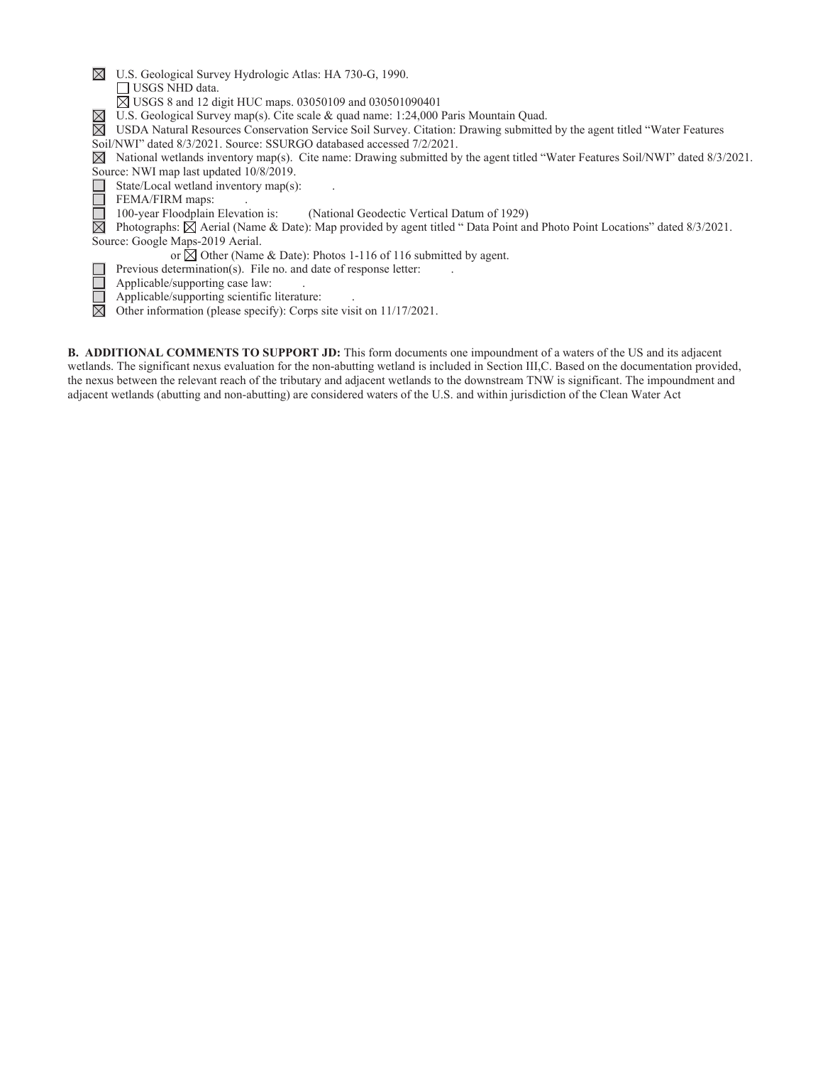| $\boxtimes$<br>U.S. Geological Survey Hydrologic Atlas: HA 730-G, 1990.                                                                           |
|---------------------------------------------------------------------------------------------------------------------------------------------------|
| $\Box$ USGS NHD data.                                                                                                                             |
| $\boxtimes$ USGS 8 and 12 digit HUC maps. 03050109 and 030501090401                                                                               |
| $\boxtimes$<br>U.S. Geological Survey map(s). Cite scale & quad name: 1:24,000 Paris Mountain Quad.                                               |
| ⊠<br>USDA Natural Resources Conservation Service Soil Survey. Citation: Drawing submitted by the agent titled "Water Features"                    |
| Soil/NWI" dated 8/3/2021. Source: SSURGO databased accessed 7/2/2021.                                                                             |
| National wetlands inventory map(s). Cite name: Drawing submitted by the agent titled "Water Features Soil/NWI" dated 8/3/2021.<br>M               |
| Source: NWI map last updated 10/8/2019.                                                                                                           |
| State/Local wetland inventory map(s):                                                                                                             |
| FEMA/FIRM maps:                                                                                                                                   |
| 100-year Floodplain Elevation is:<br>(National Geodectic Vertical Datum of 1929)                                                                  |
| $\boxtimes$<br>Photographs: $\boxtimes$ Aerial (Name & Date): Map provided by agent titled "Data Point and Photo Point Locations" dated 8/3/2021. |
| Source: Google Maps-2019 Aerial.                                                                                                                  |
| or $\boxtimes$ Other (Name & Date): Photos 1-116 of 116 submitted by agent.                                                                       |
| Previous determination(s). File no. and date of response letter:                                                                                  |
| Applicable/supporting case law:                                                                                                                   |
| Applicable/supporting scientific literature:                                                                                                      |
| $\boxtimes$<br>Other information (please specify): Corps site visit on 11/17/2021.                                                                |
|                                                                                                                                                   |

**B. ADDITIONAL COMMENTS TO SUPPORT JD:** This form documents one impoundment of a waters of the US and its adjacent wetlands. The significant nexus evaluation for the non-abutting wetland is included in Section III,C. Based on the documentation provided, the nexus between the relevant reach of the tributary and adjacent wetlands to the downstream TNW is significant. The impoundment and adjacent wetlands (abutting and non-abutting) are considered waters of the U.S. and within jurisdiction of the Clean Water Act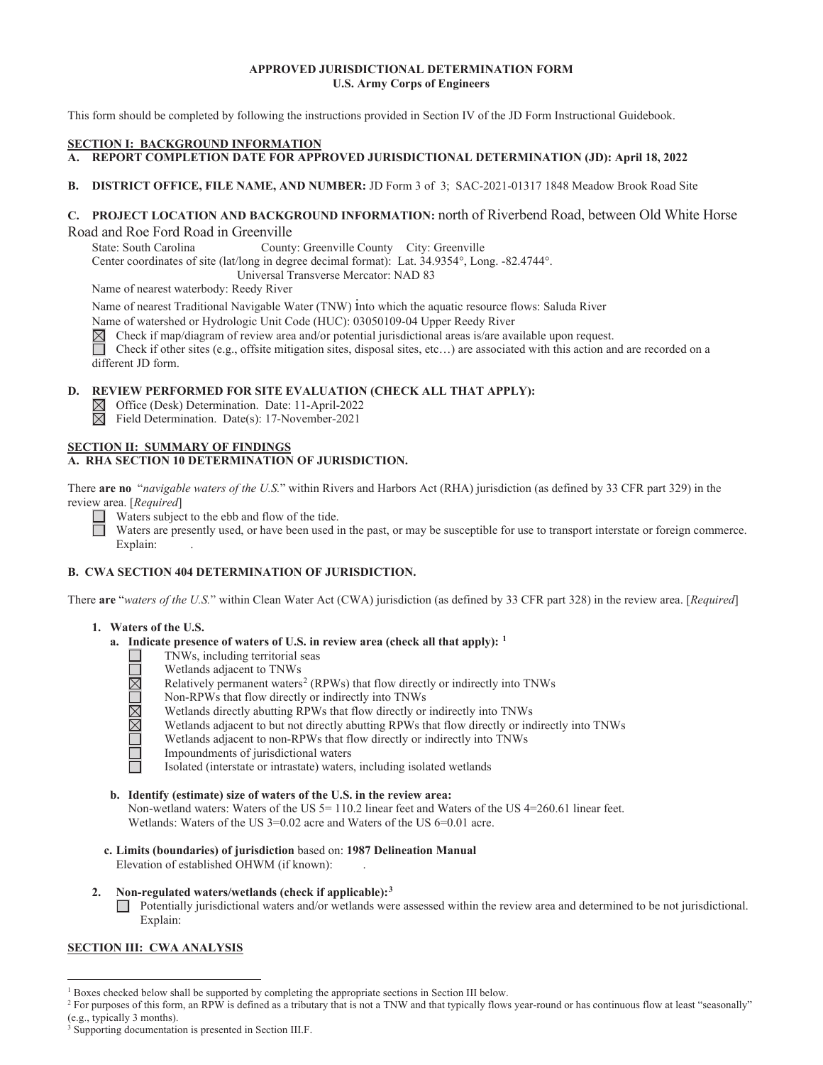# **APPROVED JURISDICTIONAL DETERMINATION FORM U.S. Army Corps of Engineers**

This form should be completed by following the instructions provided in Section IV of the JD Form Instructional Guidebook.

### **SECTION I: BACKGROUND INFORMATION**

- A. REPORT COMPLETION DATE FOR APPROVED JURISDICTIONAL DETERMINATION (JD): April 18, 2022
- **B**. **DISTRICT OFFICE, FILE NAME, AND NUMBER:** JD Form 3 of 3; SAC-2021-01317 1848 Meadow Brook Road Site

# **C. PROJECT LOCATION AND BACKGROUND INFORMATION:** north of Riverbend Road, between Old White Horse Road and Roe Ford Road in Greenville

State: South Carolina County: Greenville County City: Greenville

Center coordinates of site (lat/long in degree decimal format): Lat. 34.9354°, Long. -82.4744°.

Universal Transverse Mercator: NAD 83

Name of nearest waterbody: Reedy River

Name of nearest Traditional Navigable Water (TNW) into which the aquatic resource flows: Saluda River

Name of watershed or Hydrologic Unit Code (HUC): 03050109-04 Upper Reedy River  $\boxtimes$  Check if map/diagram of review area and/or potential jurisdictional areas is/are avantager Check if other sites (e.g., offsite mitigatio

Check if map/diagram of review area and/or potential jurisdictional areas is/are available upon request.

 different JD form. Check if other sites (e.g., offsite mitigation sites, disposal sites, etc…) are associated with this action and are recorded on a

# **D. REVIEW PERFORMED FOR SITE EVALUATION (CHECK ALL THAT APPLY):**

Office (Desk) Determination. Date: 11-April-2022

Field Determination. Date(s): 17-November-2021

### **SECTION II: SUMMARY OF FINDINGS A. RHA SECTION 10 DETERMINATION OF JURISDICTION.**

There **are no** "*navigable waters of the U.S.*" within Rivers and Harbors Act (RHA) jurisdiction (as defined by 33 CFR part 329) in the review area. [*Required*]

Waters subject to the ebb and flow of the tide.

 $\Box$ Waters are presently used, or have been used in the past, or may be susceptible for use to transport interstate or foreign commerce. Explain: Explain:

# **B. CWA SECTION 404 DETERMINATION OF JURISDICTION.**

There **are** "*waters of the U.S.*" within Clean Water Act (CWA) jurisdiction (as defined by 33 CFR part 328) in the review area. [*Required*]

# **1. Waters of the U.S.**

- **a. Indicate presence of waters of U.S. in review area (check all that apply): 1** 
	- TNWs, including territorial seas
	- Wetlands adjacent to TNWs <u> INNA TEL</u>
		- Relatively permanent waters<sup>2</sup> (RPWs) that flow directly or indirectly into TNWs
		- Non-RPWs that flow directly or indirectly into TNWs
		- Wetlands directly abutting RPWs that flow directly or indirectly into TNWs
		- Wetlands adjacent to but not directly abutting RPWs that flow directly or indirectly into TNWs
		- Wetlands adjacent to non-RPWs that flow directly or indirectly into TNWs
		- Impoundments of jurisdictional waters
			- Isolated (interstate or intrastate) waters, including isolated wetlands
- **b. Identify (estimate) size of waters of the U.S. in the review area:**

Non-wetland waters: Waters of the US 5 = 110.2 linear feet and Waters of the US 4 = 260.61 linear feet. Wetlands: Waters of the US 3=0.02 acre and Waters of the US 6=0.01 acre.

- **c. Limits (boundaries) of jurisdiction** based on: **1987 Delineation Manual** Elevation of established OHWM (if known):
- **2. Non-regulated waters/wetlands (check if applicable):3**

 $\Box$  Potentially jurisdictional waters and/or wetlands were assessed within the review area and determined to be not jurisdictional. Explain:

# **SECTION III: CWA ANALYSIS**

<sup>&</sup>lt;sup>1</sup> Boxes checked below shall be supported by completing the appropriate sections in Section III below.<br><sup>2</sup> For purposes of this form an PPW is defined as a tributory that is not a TNW and that tunically flows

<sup>&</sup>lt;sup>2</sup> For purposes of this form, an RPW is defined as a tributary that is not a TNW and that typically flows year-round or has continuous flow at least "seasonally" (e.g., typically 3 months).

<sup>&</sup>lt;sup>3</sup> Supporting documentation is presented in Section III.F.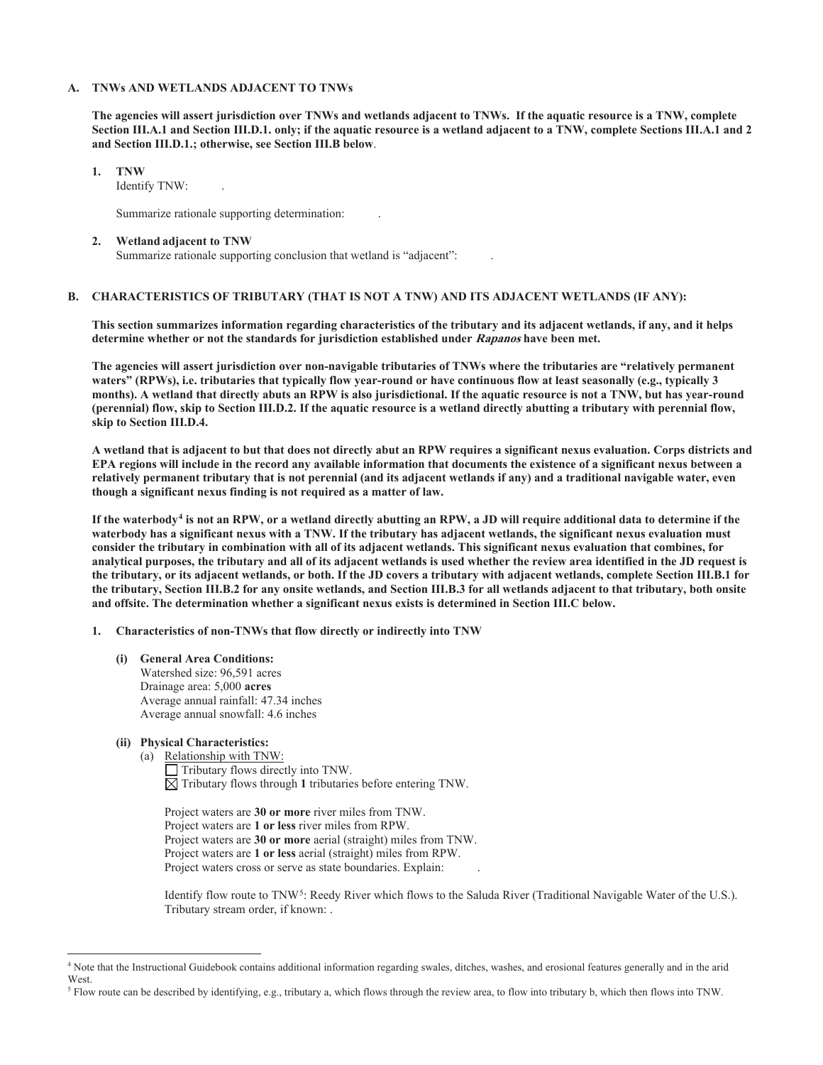### **A. TNWs AND WETLANDS ADJACENT TO TNWs**

 **and Section III.D.1.; otherwise, see Section III.B below**. **The agencies will assert jurisdiction over TNWs and wetlands adjacent to TNWs. If the aquatic resource is a TNW, complete Section III.A.1 and Section III.D.1. only; if the aquatic resource is a wetland adjacent to a TNW, complete Sections III.A.1 and 2** 

### **1. TNW**

Identify TNW: .

Summarize rationale supporting determination: .

#### **2. Wetland adjacent to TNW**

Summarize rationale supporting conclusion that wetland is "adjacent": .

# **B. CHARACTERISTICS OF TRIBUTARY (THAT IS NOT A TNW) AND ITS ADJACENT WETLANDS (IF ANY):**

**This section summarizes information regarding characteristics of the tributary and its adjacent wetlands, if any, and it helps determine whether or not the standards for jurisdiction established under Rapanos have been met.** 

skip to Section III.D.4. **The agencies will assert jurisdiction over non-navigable tributaries of TNWs where the tributaries are "relatively permanent waters" (RPWs), i.e. tributaries that typically flow year-round or have continuous flow at least seasonally (e.g., typically 3 months). A wetland that directly abuts an RPW is also jurisdictional. If the aquatic resource is not a TNW, but has year-round (perennial) flow, skip to Section III.D.2. If the aquatic resource is a wetland directly abutting a tributary with perennial flow,** 

**skip to Section III.D.4. A wetland that is adjacent to but that does not directly abut an RPW requires a significant nexus evaluation. Corps districts and EPA regions will include in the record any available information that documents the existence of a significant nexus between a relatively permanent tributary that is not perennial (and its adjacent wetlands if any) and a traditional navigable water, even though a significant nexus finding is not required as a matter of law.** 

 **and offsite. The determination whether a significant nexus exists is determined in Section III.C below.** If the waterbody<sup>4</sup> is not an RPW, or a wetland directly abutting an RPW, a JD will require additional data to determine if the **waterbody has a significant nexus with a TNW. If the tributary has adjacent wetlands, the significant nexus evaluation must consider the tributary in combination with all of its adjacent wetlands. This significant nexus evaluation that combines, for analytical purposes, the tributary and all of its adjacent wetlands is used whether the review area identified in the JD request is the tributary, or its adjacent wetlands, or both. If the JD covers a tributary with adjacent wetlands, complete Section III.B.1 for the tributary, Section III.B.2 for any onsite wetlands, and Section III.B.3 for all wetlands adjacent to that tributary, both onsite** 

### **1. Characteristics of non-TNWs that flow directly or indirectly into TNW**

 Watershed size: 96,591 acres **(i) General Area Conditions:** Drainage area: 5,000 **acres** Average annual rainfall: 47.34 inches Average annual snowfall: 4.6 inches

### **(ii) Physical Characteristics:**

(a) Relationship with TNW:

Tributary flows directly into TNW.  $\boxtimes$  Tributary flows through 1 tributaries before entering TNW.

 Project waters are **1 or less** river miles from RPW. Project waters are **30 or more** river miles from TNW. Project waters are **30 or more** aerial (straight) miles from TNW. Project waters are **1 or less** aerial (straight) miles from RPW. Project waters cross or serve as state boundaries. Explain:

Identify flow route to TNW5: Reedy River which flows to the Saluda River (Traditional Navigable Water of the U.S.). Tributary stream order, if known: .

<sup>4</sup> Note that the Instructional Guidebook contains additional information regarding swales, ditches, washes, and erosional features generally and in the arid West.

<sup>&</sup>lt;sup>5</sup> Flow route can be described by identifying, e.g., tributary a, which flows through the review area, to flow into tributary b, which then flows into TNW.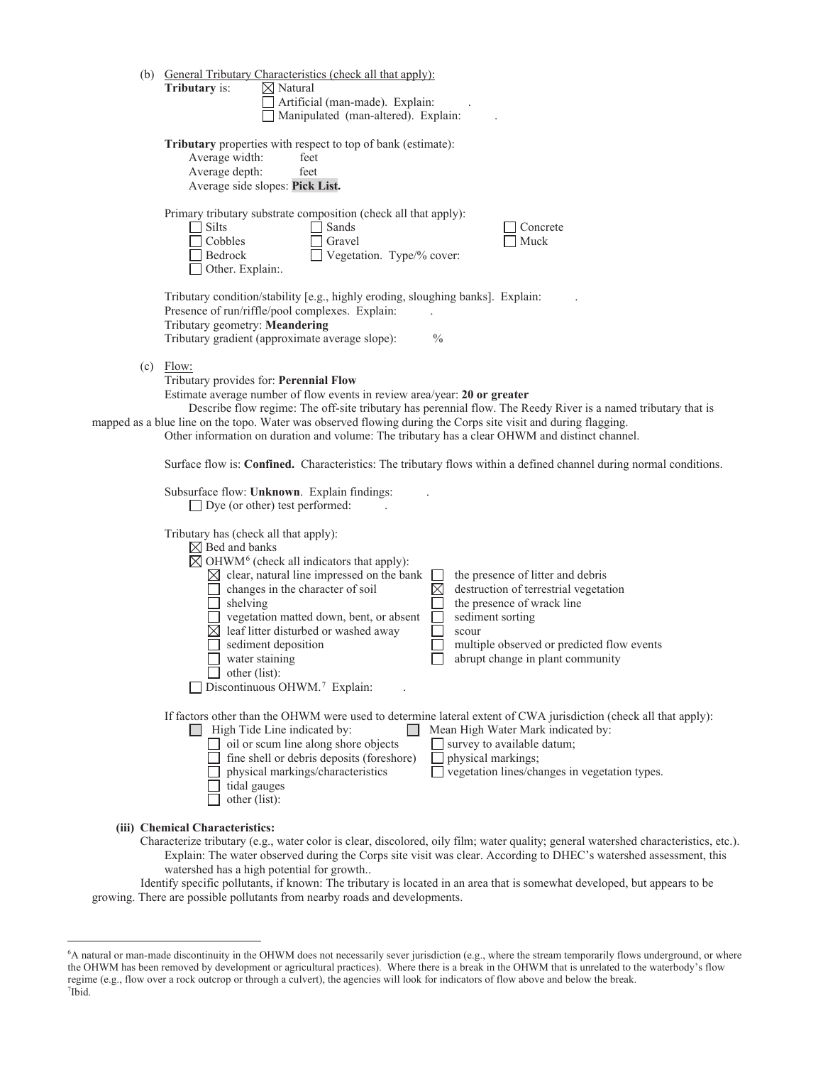| (b) General Tributary Characteristics (check all that apply):                                                                                                                                                                                                                                                                                                                                                                                                                                                                                                                                                                                                                                                    |
|------------------------------------------------------------------------------------------------------------------------------------------------------------------------------------------------------------------------------------------------------------------------------------------------------------------------------------------------------------------------------------------------------------------------------------------------------------------------------------------------------------------------------------------------------------------------------------------------------------------------------------------------------------------------------------------------------------------|
| <b>Tributary</b> is:<br>$\boxtimes$ Natural                                                                                                                                                                                                                                                                                                                                                                                                                                                                                                                                                                                                                                                                      |
| Artificial (man-made). Explain:                                                                                                                                                                                                                                                                                                                                                                                                                                                                                                                                                                                                                                                                                  |
| Manipulated (man-altered). Explain:                                                                                                                                                                                                                                                                                                                                                                                                                                                                                                                                                                                                                                                                              |
| Tributary properties with respect to top of bank (estimate):<br>Average width:<br>feet<br>Average depth:<br>feet<br>Average side slopes: Pick List.                                                                                                                                                                                                                                                                                                                                                                                                                                                                                                                                                              |
| Primary tributary substrate composition (check all that apply):<br>Silts<br>Sands<br>Concrete<br>Cobbles<br>Gravel<br>Muck<br>Bedrock<br>Vegetation. Type/% cover:<br>Other. Explain:.                                                                                                                                                                                                                                                                                                                                                                                                                                                                                                                           |
| Tributary condition/stability [e.g., highly eroding, sloughing banks]. Explain:<br>Presence of run/riffle/pool complexes. Explain:<br>Tributary geometry: Meandering<br>Tributary gradient (approximate average slope):<br>$\frac{0}{0}$                                                                                                                                                                                                                                                                                                                                                                                                                                                                         |
| $(c)$ Flow:<br>Tributary provides for: Perennial Flow<br>Estimate average number of flow events in review area/year: 20 or greater<br>Describe flow regime: The off-site tributary has perennial flow. The Reedy River is a named tributary that is<br>mapped as a blue line on the topo. Water was observed flowing during the Corps site visit and during flagging.<br>Other information on duration and volume: The tributary has a clear OHWM and distinct channel.                                                                                                                                                                                                                                          |
| Surface flow is: <b>Confined.</b> Characteristics: The tributary flows within a defined channel during normal conditions.                                                                                                                                                                                                                                                                                                                                                                                                                                                                                                                                                                                        |
| Subsurface flow: Unknown. Explain findings:<br>Dye (or other) test performed:                                                                                                                                                                                                                                                                                                                                                                                                                                                                                                                                                                                                                                    |
| Tributary has (check all that apply):<br>$\boxtimes$ Bed and banks<br>$\boxtimes$ OHWM <sup>6</sup> (check all indicators that apply):<br>$\boxtimes$ clear, natural line impressed on the bank<br>the presence of litter and debris<br>$\Box$<br>changes in the character of soil<br>$\boxtimes$<br>destruction of terrestrial vegetation<br>shelving<br>the presence of wrack line<br>vegetation matted down, bent, or absent<br>sediment sorting<br>$\boxtimes$ leaf litter disturbed or washed away<br>scour<br>sediment deposition<br>multiple observed or predicted flow events<br>water staining<br>abrupt change in plant community<br>$\Box$ other (list):<br>Discontinuous OHWM. <sup>7</sup> Explain: |
| If factors other than the OHWM were used to determine lateral extent of CWA jurisdiction (check all that apply):<br>$\Box$ High Tide Line indicated by:<br>Mean High Water Mark indicated by:<br>$\Box$ oil or scum line along shore objects<br>survey to available datum;<br>fine shell or debris deposits (foreshore)<br>physical markings;<br>physical markings/characteristics<br>vegetation lines/changes in vegetation types.<br>tidal gauges<br>other (list):                                                                                                                                                                                                                                             |
| (iii) Chemical Characteristics:<br>Characterize tributary (e.g., water color is clear, discolored, oily film; water quality; general watershed characteristics, etc.).<br>Explain: The water observed during the Corps site visit was clear. According to DHEC's watershed assessment, this                                                                                                                                                                                                                                                                                                                                                                                                                      |

watershed has a high potential for growth..

 Identify specific pollutants, if known: The tributary is located in an area that is somewhat developed, but appears to be growing. There are possible pollutants from nearby roads and developments.

 the OHWM has been removed by development or agricultural practices). Where there is a break in the OHWM that is unrelated to the waterbody's flow 6 A natural or man-made discontinuity in the OHWM does not necessarily sever jurisdiction (e.g., where the stream temporarily flows underground, or where regime (e.g., flow over a rock outcrop or through a culvert), the agencies will look for indicators of flow above and below the break. 7  $7$ Ibid.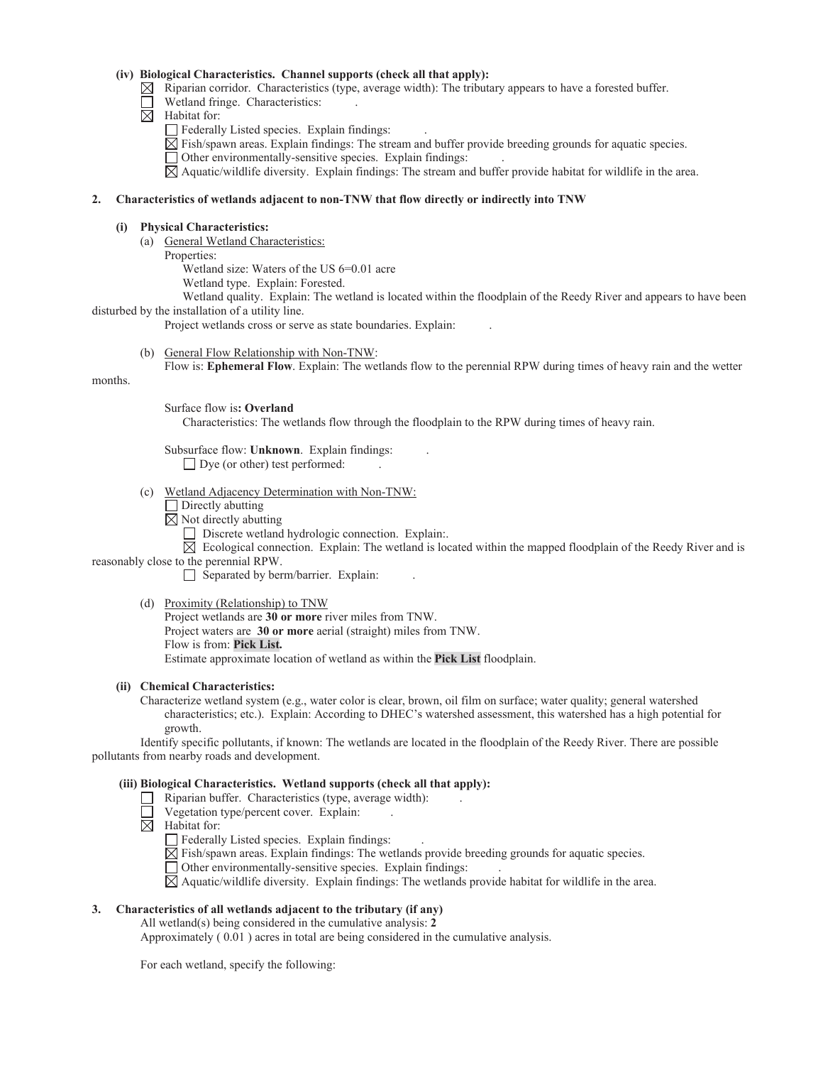### **(iv) Biological Characteristics. Channel supports (check all that apply):**

- $\boxtimes$  Riparian corridor. Characteristics (type, average width): The tributary appears to have a forested buffer.
- Wetland fringe. Characteristics:
- $\boxtimes$  Habitat for:
	- Federally Listed species. Explain findings:
	- $\boxtimes$  Fish/spawn areas. Explain findings: The stream and buffer provide breeding grounds for aquatic species.
	- Other environmentally-sensitive species. Explain findings: .
	- Aquatic/wildlife diversity. Explain findings: The stream and buffer provide habitat for wildlife in the area.

# **2. Characteristics of wetlands adjacent to non-TNW that flow directly or indirectly into TNW**

### **(i) Physical Characteristics:**

- (a) General Wetland Characteristics:
	- Properties:
		- Wetland size: Waters of the US 6=0.01 acre
		- Wetland type. Explain: Forested.
- Wetland quality. Explain: The wetland is located within the floodplain of the Reedy River and appears to have been disturbed by the installation of a utility line.

Project wetlands cross or serve as state boundaries. Explain: .

(b) General Flow Relationship with Non-TNW:

Flow is: **Ephemeral Flow**. Explain: The wetlands flow to the perennial RPW during times of heavy rain and the wetter

months.

Surface flow is**: Overland** 

Characteristics: The wetlands flow through the floodplain to the RPW during times of heavy rain.

- Subsurface flow: **Unknown**. Explain findings: . □ Dye (or other) test performed:
- (c) Wetland Adjacency Determination with Non-TNW:
	- $\Box$  Directly abutting
	- $\boxtimes$  Not directly abutting
		- Discrete wetland hydrologic connection. Explain:.
- $\boxtimes$  Ecological connection. Explain: The wetland is located within the mapped floodplain of the Reedy River and is reasonably close to the perennial RPW.
	- $\Box$  Separated by berm/barrier. Explain:
	- (d) Proximity (Relationship) to TNW
	- Project wetlands are **30 or more** river miles from TNW. Project waters are **30 or more** aerial (straight) miles from TNW. Flow is from: **Pick List.**  Estimate approximate location of wetland as within the **Pick List** floodplain.

### **(ii) Chemical Characteristics:**

Characterize wetland system (e.g., water color is clear, brown, oil film on surface; water quality; general watershed characteristics; etc.). Explain: According to DHEC's watershed assessment, this watershed has a high potential for growth.

 Identify specific pollutants, if known: The wetlands are located in the floodplain of the Reedy River. There are possible pollutants from nearby roads and development.

# **(iii) Biological Characteristics. Wetland supports (check all that apply):**

- $\Box$  Riparian buffer. Characteristics (type, average width):
- $\Box$  Vegetation type/percent cover. Explain:
- $\boxtimes$  Habitat for:
	- Federally Listed species. Explain findings:
	- $\boxtimes$  Fish/spawn areas. Explain findings: The wetlands provide breeding grounds for aquatic species.
	- Other environmentally-sensitive species. Explain findings: .

 $\boxtimes$  Aquatic/wildlife diversity. Explain findings: The wetlands provide habitat for wildlife in the area.

# **3. Characteristics of all wetlands adjacent to the tributary (if any)**

 All wetland(s) being considered in the cumulative analysis: **2**  Approximately ( 0.01 ) acres in total are being considered in the cumulative analysis.

For each wetland, specify the following: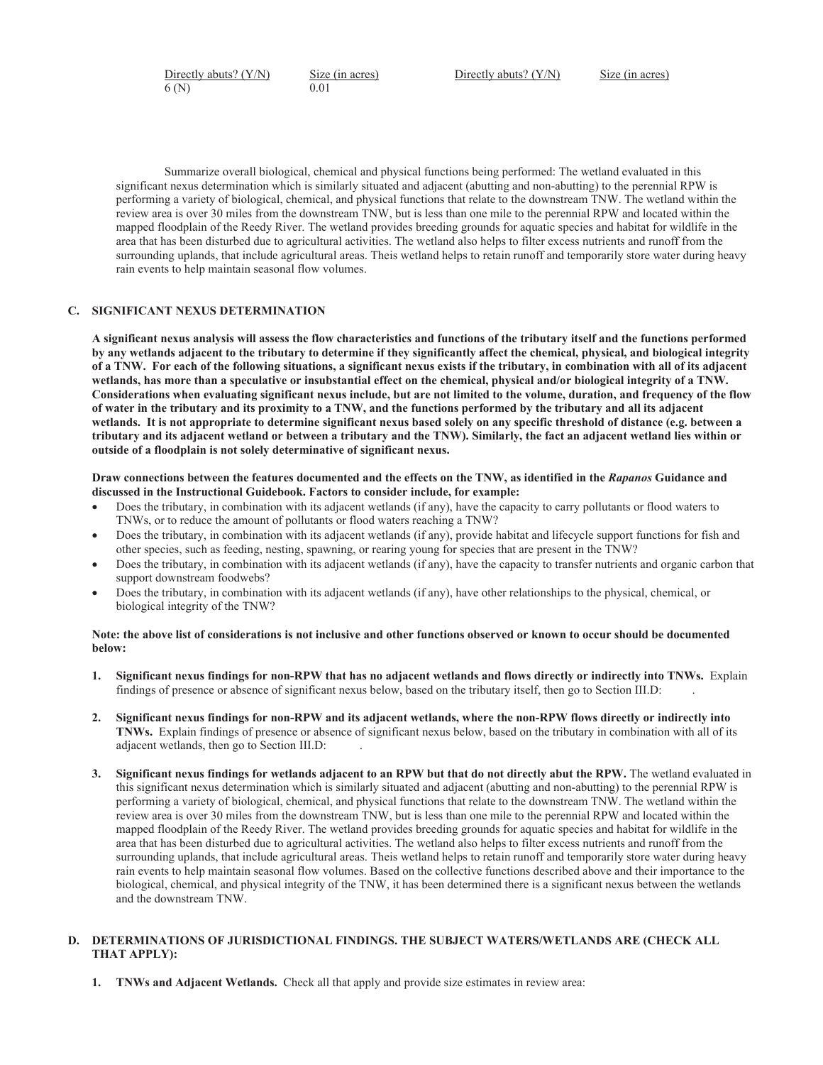Directly abuts? (Y/N) Size (in acres) Directly abuts? (Y/N) Size (in acres) 6 (N) 0.01

Summarize overall biological, chemical and physical functions being performed: The wetland evaluated in this significant nexus determination which is similarly situated and adjacent (abutting and non-abutting) to the perennial RPW is performing a variety of biological, chemical, and physical functions that relate to the downstream TNW. The wetland within the review area is over 30 miles from the downstream TNW, but is less than one mile to the perennial RPW and located within the mapped floodplain of the Reedy River. The wetland provides breeding grounds for aquatic species and habitat for wildlife in the area that has been disturbed due to agricultural activities. The wetland also helps to filter excess nutrients and runoff from the surrounding uplands, that include agricultural areas. Theis wetland helps to retain runoff and temporarily store water during heavy rain events to help maintain seasonal flow volumes.

# **C. SIGNIFICANT NEXUS DETERMINATION**

wetlands, has more than a speculative or insubstantial effect on the chemical, physical and/or biological integrity of a TNW. **A significant nexus analysis will assess the flow characteristics and functions of the tributary itself and the functions performed by any wetlands adjacent to the tributary to determine if they significantly affect the chemical, physical, and biological integrity of a TNW. For each of the following situations, a significant nexus exists if the tributary, in combination with all of its adjacent**  Considerations when evaluating significant nexus include, but are not limited to the volume, duration, and frequency of the flow **of water in the tributary and its proximity to a TNW, and the functions performed by the tributary and all its adjacent wetlands. It is not appropriate to determine significant nexus based solely on any specific threshold of distance (e.g. between a tributary and its adjacent wetland or between a tributary and the TNW). Similarly, the fact an adjacent wetland lies within or outside of a floodplain is not solely determinative of significant nexus.** 

 **discussed in the Instructional Guidebook. Factors to consider include, for example: Draw connections between the features documented and the effects on the TNW, as identified in the** *Rapanos* **Guidance and** 

- Does the tributary, in combination with its adjacent wetlands (if any), have the capacity to carry pollutants or flood waters to TNWs, or to reduce the amount of pollutants or flood waters reaching a TNW?
- Does the tributary, in combination with its adjacent wetlands (if any), provide habitat and lifecycle support functions for fish and other species, such as feeding, nesting, spawning, or rearing young for species that are present in the TNW?
- Does the tributary, in combination with its adjacent wetlands (if any), have the capacity to transfer nutrients and organic carbon that support downstream foodwebs?
- Does the tributary, in combination with its adjacent wetlands (if any), have other relationships to the physical, chemical, or biological integrity of the TNW?

### **Note: the above list of considerations is not inclusive and other functions observed or known to occur should be documented below:**

- findings of presence or absence of significant nexus below, based on the tributary itself, then go to Section III.D: . **1. Significant nexus findings for non-RPW that has no adjacent wetlands and flows directly or indirectly into TNWs.** Explain
- **2. Significant nexus findings for non-RPW and its adjacent wetlands, where the non-RPW flows directly or indirectly into TNWs.** Explain findings of presence or absence of significant nexus below, based on the tributary in combination with all of its adjacent wetlands, then go to Section III.D: .
- **3. Significant nexus findings for wetlands adjacent to an RPW but that do not directly abut the RPW.** The wetland evaluated in this significant nexus determination which is similarly situated and adjacent (abutting and non-abutting) to the perennial RPW is performing a variety of biological, chemical, and physical functions that relate to the downstream TNW. The wetland within the review area is over 30 miles from the downstream TNW, but is less than one mile to the perennial RPW and located within the mapped floodplain of the Reedy River. The wetland provides breeding grounds for aquatic species and habitat for wildlife in the area that has been disturbed due to agricultural activities. The wetland also helps to filter excess nutrients and runoff from the surrounding uplands, that include agricultural areas. Theis wetland helps to retain runoff and temporarily store water during heavy rain events to help maintain seasonal flow volumes. Based on the collective functions described above and their importance to the biological, chemical, and physical integrity of the TNW, it has been determined there is a significant nexus between the wetlands and the downstream TNW.

### **D. DETERMINATIONS OF JURISDICTIONAL FINDINGS. THE SUBJECT WATERS/WETLANDS ARE (CHECK ALL THAT APPLY):**

**1. TNWs and Adjacent Wetlands.** Check all that apply and provide size estimates in review area: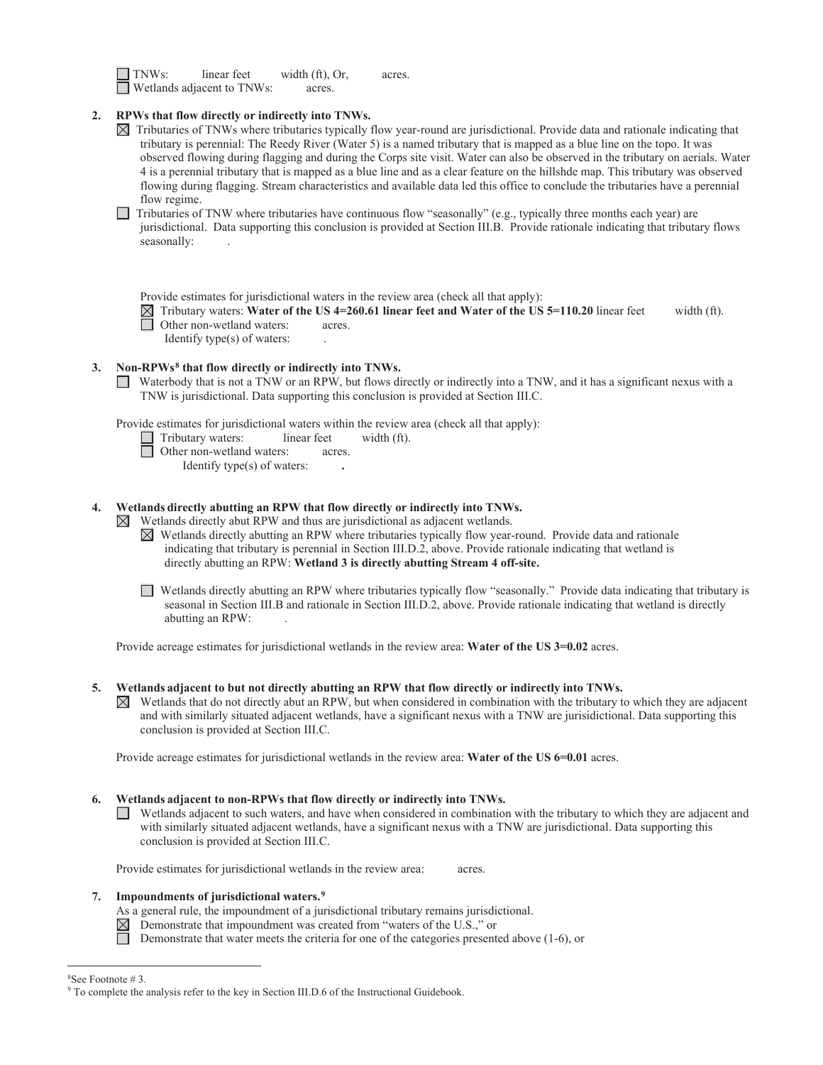| $\Box$ TNWs: | linear feet                       | width $(ft)$ , Or, | acres. |
|--------------|-----------------------------------|--------------------|--------|
|              | $\Box$ Wetlands adjacent to TNWs: | acres.             |        |

# **2. RPWs that flow directly or indirectly into TNWs.**

- $\boxtimes$  Tributaries of TNWs where tributaries typically flow year-round are jurisdictional. Provide data and rationale indicating that tributary is perennial: The Reedy River (Water 5) is a named tributary that is mapped as a blue line on the topo. It was observed flowing during flagging and during the Corps site visit. Water can also be observed in the tributary on aerials. Water 4 is a perennial tributary that is mapped as a blue line and as a clear feature on the hillshde map. This tributary was observed flowing during flagging. Stream characteristics and available data led this office to conclude the tributaries have a perennial flow regime.
- Tributaries of TNW where tributaries have continuous flow "seasonally" (e.g., typically three months each year) are jurisdictional. Data supporting this conclusion is provided at Section III.B. Provide rationale indicating that tributary flows seasonally:
	- Provide estimates for jurisdictional waters in the review area (check all that apply):
	- Tributary waters: **Water of the US [4=260.61](https://4=260.61) linear feet and Water of the US [5=110.20](https://5=110.20)** linear feet width (ft).
	- Other non-wetland waters: acres.
		- Identify type(s) of waters: .

# **3. Non-RPWs8 that flow directly or indirectly into TNWs.**

Waterbody that is not a TNW or an RPW, but flows directly or indirectly into a TNW, and it has a significant nexus with a TNW is jurisdictional. Data supporting this conclusion is provided at Section III.C.

Provide estimates for jurisdictional waters within the review area (check all that apply):

- $\Box$  Tributary waters: linear feet width (ft).
- Other non-wetland waters: acres.
	- Identify type(s) of waters: **.**

### **4. Wetlands directly abutting an RPW that flow directly or indirectly into TNWs.**

- $\boxtimes$  Wetlands directly abut RPW and thus are jurisdictional as adjacent wetlands.
	- Wetlands directly abutting an RPW where tributaries typically flow year-round. Provide data and rationale indicating that tributary is perennial in Section III.D.2, above. Provide rationale indicating that wetland is directly abutting an RPW: **Wetland 3 is directly abutting Stream 4 off-site.**
	- Wetlands directly abutting an RPW where tributaries typically flow "seasonally." Provide data indicating that tributary is seasonal in Section III.B and rationale in Section III.D.2, above. Provide rationale indicating that wetland is directly abutting an RPW: .

Provide acreage estimates for jurisdictional wetlands in the review area: **Water of the US 3=0.02** acres.

### **5. Wetlands adjacent to but not directly abutting an RPW that flow directly or indirectly into TNWs.**

conclusion is provided at Section III.C.  $\boxtimes$  Wetlands that do not directly abut an RPW, but when considered in combination with the tributary to which they are adjacent and with similarly situated adjacent wetlands, have a significant nexus with a TNW are jurisidictional. Data supporting this

Provide acreage estimates for jurisdictional wetlands in the review area: Water of the US 6=0.01 acres.

### **6. Wetlands adjacent to non-RPWs that flow directly or indirectly into TNWs.**

Wetlands adjacent to such waters, and have when considered in combination with the tributary to which they are adjacent and with similarly situated adjacent wetlands, have a significant nexus with a TNW are jurisdictional. Data supporting this conclusion is provided at Section III.C.

Provide estimates for jurisdictional wetlands in the review area: acres.

### **7. Impoundments of jurisdictional waters.9**

- As a general rule, the impoundment of a jurisdictional tributary remains jurisdictional.
- Demonstrate that impoundment was created from "waters of the U.S.," or
- Demonstrate that water meets the criteria for one of the categories presented above (1-6), or

<sup>8</sup> See Footnote # 3.

<sup>&</sup>lt;sup>9</sup> To complete the analysis refer to the key in Section III.D.6 of the Instructional Guidebook.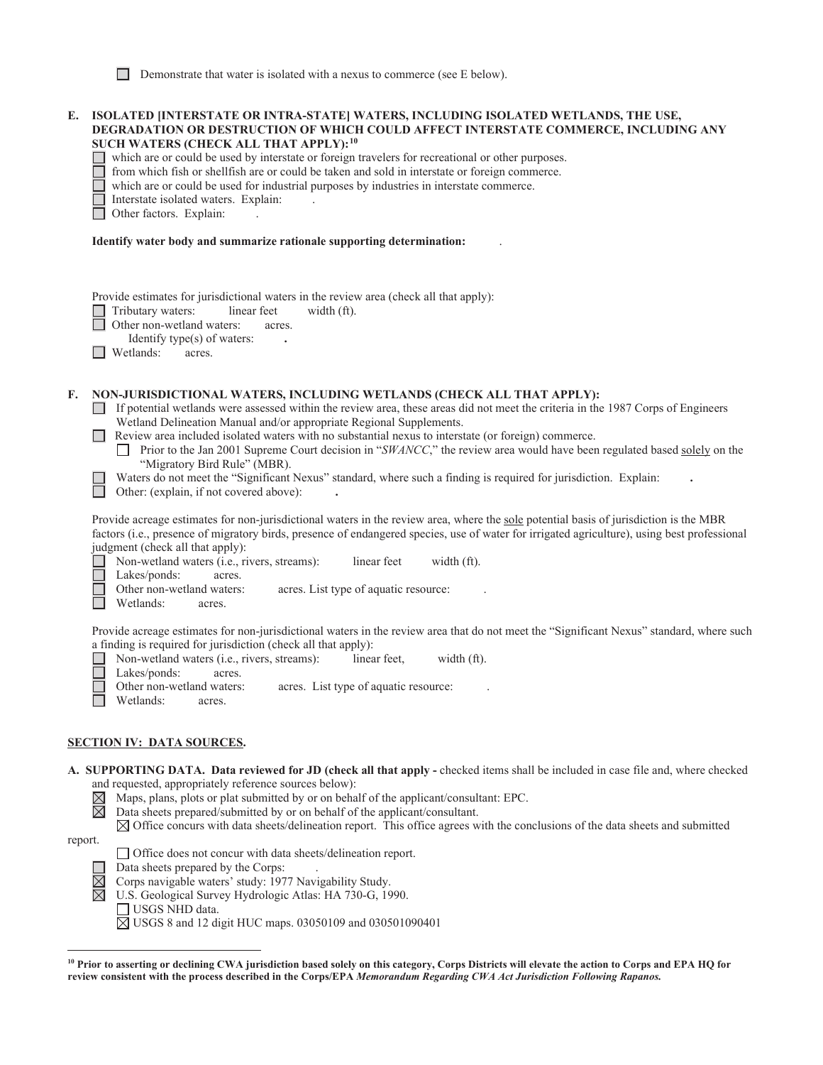Demonstrate that water is isolated with a nexus to commerce (see E below).

|         | E. ISOLATED [INTERSTATE OR INTRA-STATE] WATERS, INCLUDING ISOLATED WETLANDS, THE USE,<br>DEGRADATION OR DESTRUCTION OF WHICH COULD AFFECT INTERSTATE COMMERCE, INCLUDING ANY<br>SUCH WATERS (CHECK ALL THAT APPLY): <sup>10</sup><br>which are or could be used by interstate or foreign travelers for recreational or other purposes.<br>from which fish or shellfish are or could be taken and sold in interstate or foreign commerce.<br>which are or could be used for industrial purposes by industries in interstate commerce.<br>Interstate isolated waters. Explain:<br>Other factors. Explain:                                                                                                                     |
|---------|-----------------------------------------------------------------------------------------------------------------------------------------------------------------------------------------------------------------------------------------------------------------------------------------------------------------------------------------------------------------------------------------------------------------------------------------------------------------------------------------------------------------------------------------------------------------------------------------------------------------------------------------------------------------------------------------------------------------------------|
|         | Identify water body and summarize rationale supporting determination:                                                                                                                                                                                                                                                                                                                                                                                                                                                                                                                                                                                                                                                       |
|         | Provide estimates for jurisdictional waters in the review area (check all that apply):<br>Tributary waters:<br>linear feet<br>width (ft).<br>Other non-wetland waters:<br>acres.<br>Identify type(s) of waters:<br>Wetlands:<br>acres.                                                                                                                                                                                                                                                                                                                                                                                                                                                                                      |
| F.      | NON-JURISDICTIONAL WATERS, INCLUDING WETLANDS (CHECK ALL THAT APPLY):<br>If potential wetlands were assessed within the review area, these areas did not meet the criteria in the 1987 Corps of Engineers<br>$\Box$<br>Wetland Delineation Manual and/or appropriate Regional Supplements.<br>Review area included isolated waters with no substantial nexus to interstate (or foreign) commerce.<br>Prior to the Jan 2001 Supreme Court decision in "SWANCC," the review area would have been regulated based solely on the<br>"Migratory Bird Rule" (MBR).<br>Waters do not meet the "Significant Nexus" standard, where such a finding is required for jurisdiction. Explain:<br>Other: (explain, if not covered above): |
|         | Provide acreage estimates for non-jurisdictional waters in the review area, where the sole potential basis of jurisdiction is the MBR<br>factors (i.e., presence of migratory birds, presence of endangered species, use of water for irrigated agriculture), using best professional<br>judgment (check all that apply):<br>Non-wetland waters (i.e., rivers, streams):<br>linear feet<br>width (ft).<br>Lakes/ponds:<br>acres.<br>Other non-wetland waters:<br>acres. List type of aquatic resource:<br>Wetlands:<br>acres.                                                                                                                                                                                               |
|         | Provide acreage estimates for non-jurisdictional waters in the review area that do not meet the "Significant Nexus" standard, where such<br>a finding is required for jurisdiction (check all that apply):<br>Non-wetland waters (i.e., rivers, streams):<br>linear feet,<br>width (ft).<br>Lakes/ponds:<br>acres.<br>Other non-wetland waters:<br>acres. List type of aquatic resource:<br>Wetlands:<br>acres.                                                                                                                                                                                                                                                                                                             |
|         | <b>SECTION IV: DATA SOURCES.</b>                                                                                                                                                                                                                                                                                                                                                                                                                                                                                                                                                                                                                                                                                            |
|         | A. SUPPORTING DATA. Data reviewed for JD (check all that apply - checked items shall be included in case file and, where checked<br>and requested, appropriately reference sources below):<br>Maps, plans, plots or plat submitted by or on behalf of the applicant/consultant: EPC.<br>$\boxtimes$<br>Data sheets prepared/submitted by or on behalf of the applicant/consultant.<br>$\bowtie$<br>$\boxtimes$ Office concurs with data sheets/delineation report. This office agrees with the conclusions of the data sheets and submitted                                                                                                                                                                                 |
| report. | □ Office does not concur with data sheets/delineation report.<br>Data sheets prepared by the Corps:<br>Corps navigable waters' study: 1977 Navigability Study.<br>⋉                                                                                                                                                                                                                                                                                                                                                                                                                                                                                                                                                         |

U.S. Geological Survey Hydrologic Atlas: HA 730-G, 1990.

USGS NHD data.

USGS 8 and 12 digit HUC maps. 03050109 and 030501090401

 **review consistent with the process described in the Corps/EPA** *Memorandum Regarding CWA Act Jurisdiction Following Rapanos.* **10 Prior to asserting or declining CWA jurisdiction based solely on this category, Corps Districts will elevate the action to Corps and EPA HQ for**